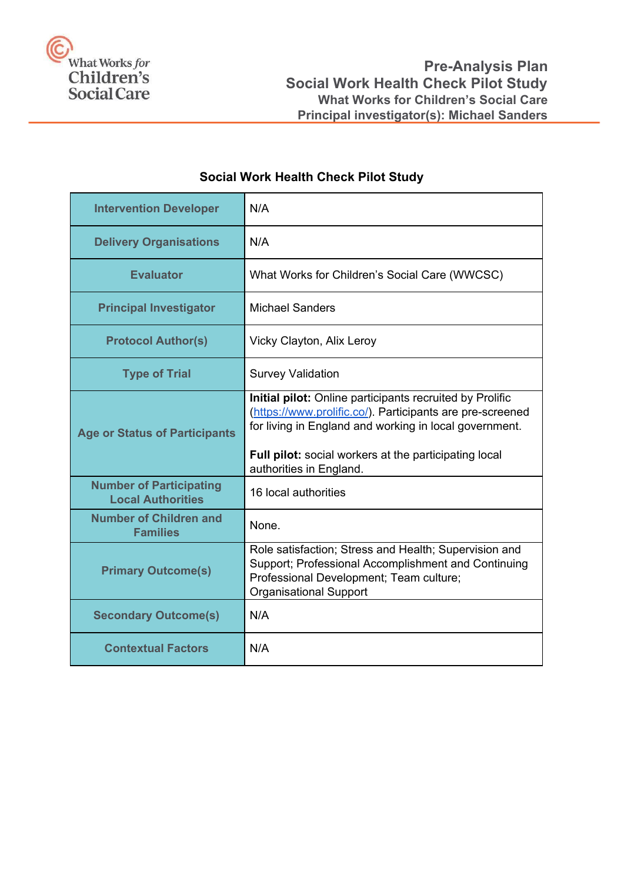

# **Social Work Health Check Pilot Study**

| <b>Intervention Developer</b>                              | N/A                                                                                                                                                                                                                                                                        |
|------------------------------------------------------------|----------------------------------------------------------------------------------------------------------------------------------------------------------------------------------------------------------------------------------------------------------------------------|
| <b>Delivery Organisations</b>                              | N/A                                                                                                                                                                                                                                                                        |
| <b>Evaluator</b>                                           | What Works for Children's Social Care (WWCSC)                                                                                                                                                                                                                              |
| <b>Principal Investigator</b>                              | <b>Michael Sanders</b>                                                                                                                                                                                                                                                     |
| <b>Protocol Author(s)</b>                                  | Vicky Clayton, Alix Leroy                                                                                                                                                                                                                                                  |
| <b>Type of Trial</b>                                       | <b>Survey Validation</b>                                                                                                                                                                                                                                                   |
| <b>Age or Status of Participants</b>                       | Initial pilot: Online participants recruited by Prolific<br>(https://www.prolific.co/). Participants are pre-screened<br>for living in England and working in local government.<br><b>Full pilot:</b> social workers at the participating local<br>authorities in England. |
| <b>Number of Participating</b><br><b>Local Authorities</b> | 16 local authorities                                                                                                                                                                                                                                                       |
| <b>Number of Children and</b><br><b>Families</b>           | None.                                                                                                                                                                                                                                                                      |
| <b>Primary Outcome(s)</b>                                  | Role satisfaction; Stress and Health; Supervision and<br>Support; Professional Accomplishment and Continuing<br>Professional Development; Team culture;<br><b>Organisational Support</b>                                                                                   |
| <b>Secondary Outcome(s)</b>                                | N/A                                                                                                                                                                                                                                                                        |
| <b>Contextual Factors</b>                                  | N/A                                                                                                                                                                                                                                                                        |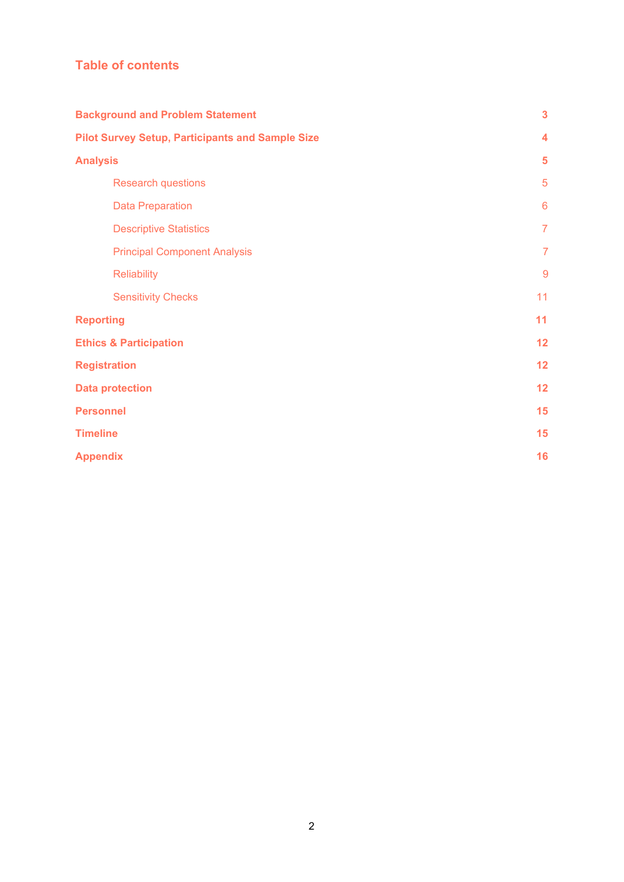## **Table of contents**

| <b>Background and Problem Statement</b>                 | $\overline{\mathbf{3}}$ |
|---------------------------------------------------------|-------------------------|
| <b>Pilot Survey Setup, Participants and Sample Size</b> | 4                       |
| <b>Analysis</b>                                         | 5                       |
| <b>Research questions</b>                               | 5                       |
| <b>Data Preparation</b>                                 | $6\phantom{1}6$         |
| <b>Descriptive Statistics</b>                           | $\overline{7}$          |
| <b>Principal Component Analysis</b>                     | $\overline{7}$          |
| <b>Reliability</b>                                      | $\overline{9}$          |
| <b>Sensitivity Checks</b>                               | 11                      |
| <b>Reporting</b>                                        | 11                      |
| <b>Ethics &amp; Participation</b>                       | 12                      |
| <b>Registration</b>                                     | 12                      |
| <b>Data protection</b>                                  | 12                      |
| <b>Personnel</b>                                        | 15                      |
| <b>Timeline</b>                                         | 15                      |
| <b>Appendix</b>                                         | 16                      |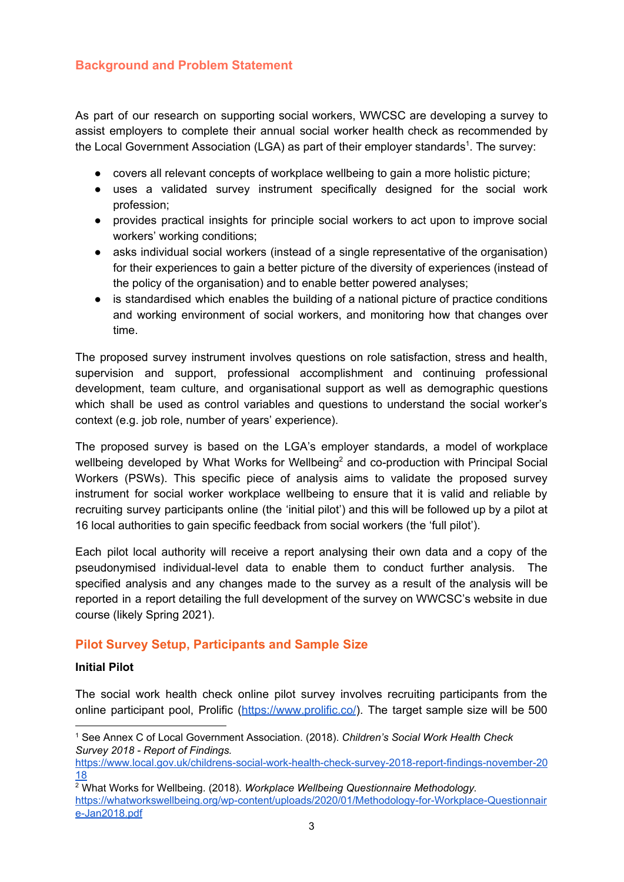## <span id="page-2-0"></span>**Background and Problem Statement**

As part of our research on supporting social workers, WWCSC are developing a survey to assist employers to complete their annual social worker health check as recommended by the Local Government Association (LGA) as part of their employer standards<sup>1</sup>. The survey:

- covers all relevant concepts of workplace wellbeing to gain a more holistic picture;
- uses a validated survey instrument specifically designed for the social work profession;
- provides practical insights for principle social workers to act upon to improve social workers' working conditions;
- asks individual social workers (instead of a single representative of the organisation) for their experiences to gain a better picture of the diversity of experiences (instead of the policy of the organisation) and to enable better powered analyses;
- is standardised which enables the building of a national picture of practice conditions and working environment of social workers, and monitoring how that changes over time.

The proposed survey instrument involves questions on role satisfaction, stress and health, supervision and support, professional accomplishment and continuing professional development, team culture, and organisational support as well as demographic questions which shall be used as control variables and questions to understand the social worker's context (e.g. job role, number of years' experience).

The proposed survey is based on the LGA's employer standards, a model of workplace wellbeing developed by What Works for Wellbeing<sup>2</sup> and co-production with Principal Social Workers (PSWs). This specific piece of analysis aims to validate the proposed survey instrument for social worker workplace wellbeing to ensure that it is valid and reliable by recruiting survey participants online (the 'initial pilot') and this will be followed up by a pilot at 16 local authorities to gain specific feedback from social workers (the 'full pilot').

Each pilot local authority will receive a report analysing their own data and a copy of the pseudonymised individual-level data to enable them to conduct further analysis. The specified analysis and any changes made to the survey as a result of the analysis will be reported in a report detailing the full development of the survey on WWCSC's website in due course (likely Spring 2021).

#### <span id="page-2-1"></span>**Pilot Survey Setup, Participants and Sample Size**

#### **Initial Pilot**

The social work health check online pilot survey involves recruiting participants from the online participant pool, Prolific (<https://www.prolific.co/>). The target sample size will be 500

<sup>1</sup> See Annex C of Local Government Association. (2018). *Children's Social Work Health Check Survey 2018 - Report of Findings.*

[https://www.local.gov.uk/childrens-social-work-health-check-survey-2018-report-findings-november-20](https://www.local.gov.uk/childrens-social-work-health-check-survey-2018-report-findings-november-2018) [18](https://www.local.gov.uk/childrens-social-work-health-check-survey-2018-report-findings-november-2018)

<sup>2</sup> What Works for Wellbeing. (2018). *Workplace Wellbeing Questionnaire Methodology.* [https://whatworkswellbeing.org/wp-content/uploads/2020/01/Methodology-for-Workplace-Questionnair](https://whatworkswellbeing.org/wp-content/uploads/2020/01/Methodology-for-Workplace-Questionnaire-Jan2018.pdf) [e-Jan2018.pdf](https://whatworkswellbeing.org/wp-content/uploads/2020/01/Methodology-for-Workplace-Questionnaire-Jan2018.pdf)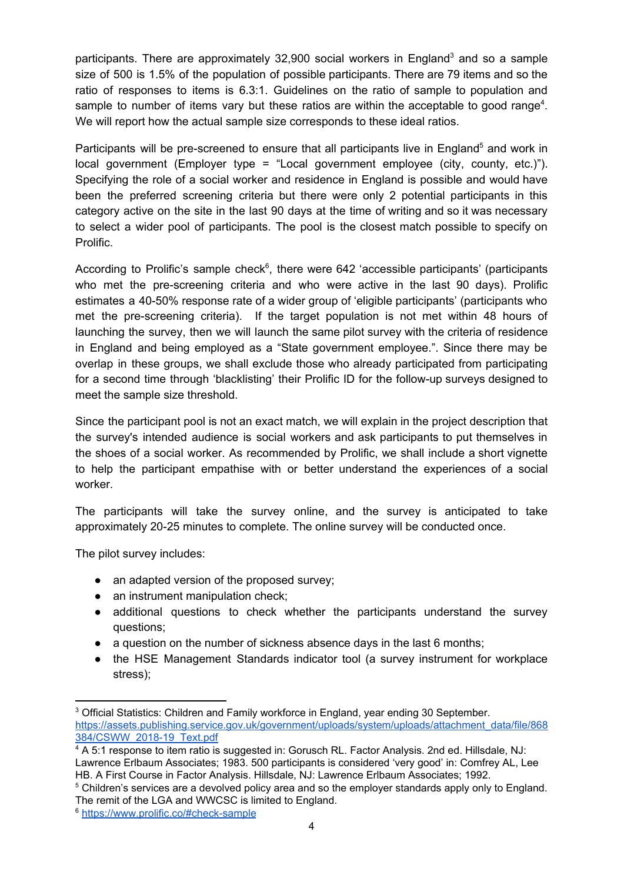participants. There are approximately 32,900 social workers in England<sup>3</sup> and so a sample size of 500 is 1.5% of the population of possible participants. There are 79 items and so the ratio of responses to items is 6.3:1. Guidelines on the ratio of sample to population and sample to number of items vary but these ratios are within the acceptable to good range<sup>4</sup>. We will report how the actual sample size corresponds to these ideal ratios.

Participants will be pre-screened to ensure that all participants live in England<sup>5</sup> and work in local government (Employer type = "Local government employee (city, county, etc.)"). Specifying the role of a social worker and residence in England is possible and would have been the preferred screening criteria but there were only 2 potential participants in this category active on the site in the last 90 days at the time of writing and so it was necessary to select a wider pool of participants. The pool is the closest match possible to specify on Prolific.

According to Prolific's sample check $6$ , there were 642 'accessible participants' (participants who met the pre-screening criteria and who were active in the last 90 days). Prolific estimates a 40-50% response rate of a wider group of 'eligible participants' (participants who met the pre-screening criteria). If the target population is not met within 48 hours of launching the survey, then we will launch the same pilot survey with the criteria of residence in England and being employed as a "State government employee.". Since there may be overlap in these groups, we shall exclude those who already participated from participating for a second time through 'blacklisting' their Prolific ID for the follow-up surveys designed to meet the sample size threshold.

Since the participant pool is not an exact match, we will explain in the project description that the survey's intended audience is social workers and ask participants to put themselves in the shoes of a social worker. As recommended by Prolific, we shall include a short vignette to help the participant empathise with or better understand the experiences of a social worker.

The participants will take the survey online, and the survey is anticipated to take approximately 20-25 minutes to complete. The online survey will be conducted once.

The pilot survey includes:

- an adapted version of the proposed survey;
- an instrument manipulation check;
- additional questions to check whether the participants understand the survey questions;
- a question on the number of sickness absence days in the last 6 months;
- the HSE Management Standards indicator tool (a survey instrument for workplace stress);

<sup>&</sup>lt;sup>3</sup> Official Statistics: Children and Family workforce in England, year ending 30 September. [https://assets.publishing.service.gov.uk/government/uploads/system/uploads/attachment\\_data/file/868](https://assets.publishing.service.gov.uk/government/uploads/system/uploads/attachment_data/file/868384/CSWW_2018-19_Text.pdf) [384/CSWW\\_2018-19\\_Text.pdf](https://assets.publishing.service.gov.uk/government/uploads/system/uploads/attachment_data/file/868384/CSWW_2018-19_Text.pdf)

<sup>4</sup> A 5:1 response to item ratio is suggested in: Gorusch RL. Factor Analysis. 2nd ed. Hillsdale, NJ: Lawrence Erlbaum Associates; 1983. 500 participants is considered 'very good' in: Comfrey AL, Lee HB. A First Course in Factor Analysis. Hillsdale, NJ: Lawrence Erlbaum Associates; 1992.

<sup>5</sup> Children's services are a devolved policy area and so the employer standards apply only to England. The remit of the LGA and WWCSC is limited to England.

<sup>6</sup> <https://www.prolific.co/#check-sample>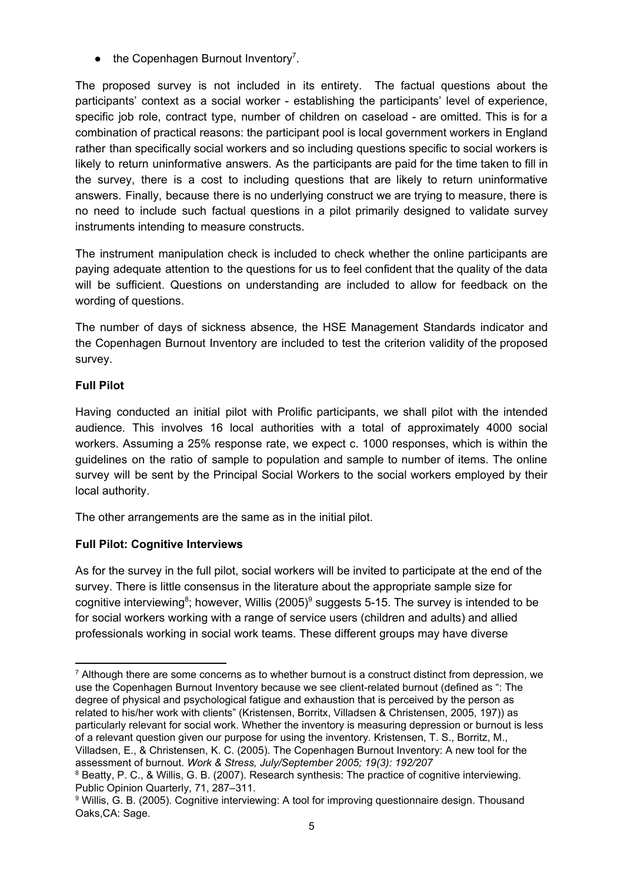$\bullet$  the Copenhagen Burnout Inventory<sup>7</sup>.

The proposed survey is not included in its entirety. The factual questions about the participants' context as a social worker - establishing the participants' level of experience, specific job role, contract type, number of children on caseload - are omitted. This is for a combination of practical reasons: the participant pool is local government workers in England rather than specifically social workers and so including questions specific to social workers is likely to return uninformative answers. As the participants are paid for the time taken to fill in the survey, there is a cost to including questions that are likely to return uninformative answers. Finally, because there is no underlying construct we are trying to measure, there is no need to include such factual questions in a pilot primarily designed to validate survey instruments intending to measure constructs.

The instrument manipulation check is included to check whether the online participants are paying adequate attention to the questions for us to feel confident that the quality of the data will be sufficient. Questions on understanding are included to allow for feedback on the wording of questions.

The number of days of sickness absence, the HSE Management Standards indicator and the Copenhagen Burnout Inventory are included to test the criterion validity of the proposed survey.

### **Full Pilot**

Having conducted an initial pilot with Prolific participants, we shall pilot with the intended audience. This involves 16 local authorities with a total of approximately 4000 social workers. Assuming a 25% response rate, we expect c. 1000 responses, which is within the guidelines on the ratio of sample to population and sample to number of items. The online survey will be sent by the Principal Social Workers to the social workers employed by their local authority.

The other arrangements are the same as in the initial pilot.

## **Full Pilot: Cognitive Interviews**

As for the survey in the full pilot, social workers will be invited to participate at the end of the survey. There is little consensus in the literature about the appropriate sample size for cognitive interviewing<sup>8</sup>; however, Willis (2005)<sup>9</sup> suggests 5-15. The survey is intended to be for social workers working with a range of service users (children and adults) and allied professionals working in social work teams. These different groups may have diverse

 $7$  Although there are some concerns as to whether burnout is a construct distinct from depression, we use the Copenhagen Burnout Inventory because we see client-related burnout (defined as ": The degree of physical and psychological fatigue and exhaustion that is perceived by the person as related to his/her work with clients" (Kristensen, Borritx, Villadsen & Christensen, 2005, 197)) as particularly relevant for social work. Whether the inventory is measuring depression or burnout is less of a relevant question given our purpose for using the inventory. Kristensen, T. S., Borritz, M., Villadsen, E., & Christensen, K. C. (2005). The Copenhagen Burnout Inventory: A new tool for the assessment of burnout. *Work & Stress, July/September 2005; 19(3): 192/207*

<sup>&</sup>lt;sup>8</sup> Beatty, P. C., & Willis, G. B. (2007). Research synthesis: The practice of cognitive interviewing. Public Opinion Quarterly, 71, 287–311.

<sup>9</sup> Willis, G. B. (2005). Cognitive interviewing: A tool for improving questionnaire design. Thousand Oaks,CA: Sage.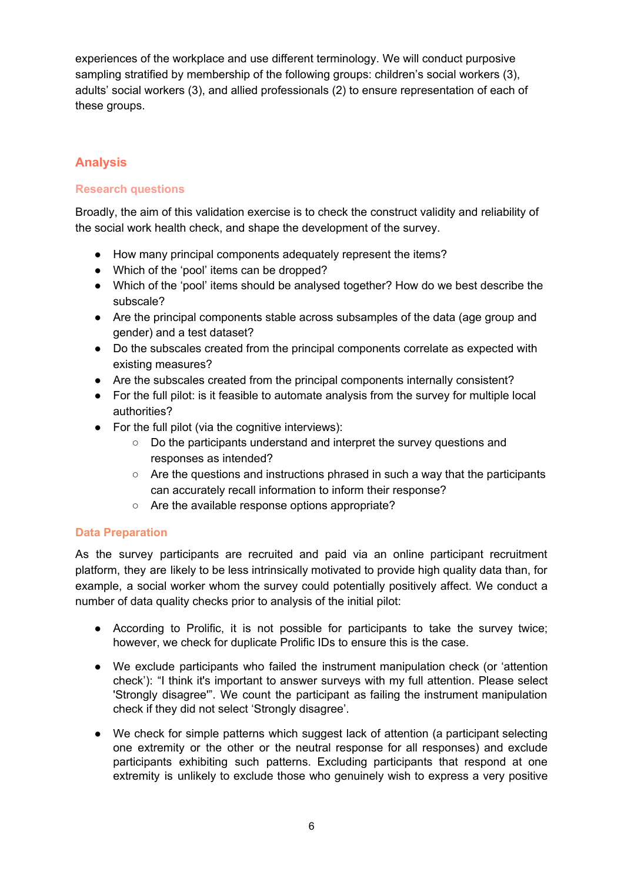experiences of the workplace and use different terminology. We will conduct purposive sampling stratified by membership of the following groups: children's social workers (3), adults' social workers (3), and allied professionals (2) to ensure representation of each of these groups.

## <span id="page-5-0"></span>**Analysis**

#### <span id="page-5-1"></span>**Research questions**

Broadly, the aim of this validation exercise is to check the construct validity and reliability of the social work health check, and shape the development of the survey.

- How many principal components adequately represent the items?
- Which of the 'pool' items can be dropped?
- Which of the 'pool' items should be analysed together? How do we best describe the subscale?
- Are the principal components stable across subsamples of the data (age group and gender) and a test dataset?
- Do the subscales created from the principal components correlate as expected with existing measures?
- Are the subscales created from the principal components internally consistent?
- For the full pilot: is it feasible to automate analysis from the survey for multiple local authorities?
- $\bullet$  For the full pilot (via the cognitive interviews):
	- Do the participants understand and interpret the survey questions and responses as intended?
	- Are the questions and instructions phrased in such a way that the participants can accurately recall information to inform their response?
	- Are the available response options appropriate?

#### <span id="page-5-2"></span>**Data Preparation**

As the survey participants are recruited and paid via an online participant recruitment platform, they are likely to be less intrinsically motivated to provide high quality data than, for example, a social worker whom the survey could potentially positively affect. We conduct a number of data quality checks prior to analysis of the initial pilot:

- According to Prolific, it is not possible for participants to take the survey twice; however, we check for duplicate Prolific IDs to ensure this is the case.
- We exclude participants who failed the instrument manipulation check (or 'attention check'): "I think it's important to answer surveys with my full attention. Please select 'Strongly disagree'". We count the participant as failing the instrument manipulation check if they did not select 'Strongly disagree'.
- We check for simple patterns which suggest lack of attention (a participant selecting one extremity or the other or the neutral response for all responses) and exclude participants exhibiting such patterns. Excluding participants that respond at one extremity is unlikely to exclude those who genuinely wish to express a very positive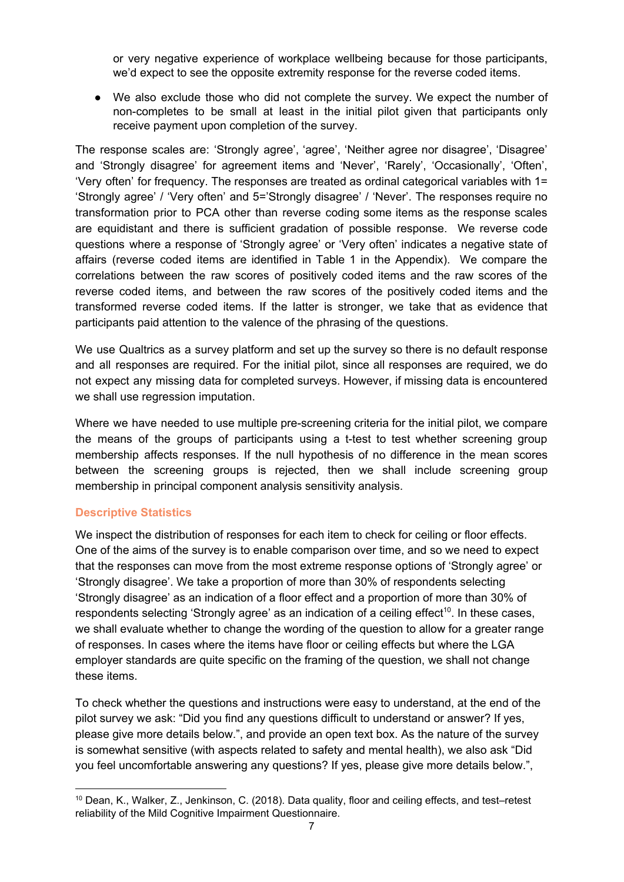or very negative experience of workplace wellbeing because for those participants, we'd expect to see the opposite extremity response for the reverse coded items.

● We also exclude those who did not complete the survey. We expect the number of non-completes to be small at least in the initial pilot given that participants only receive payment upon completion of the survey.

The response scales are: 'Strongly agree', 'agree', 'Neither agree nor disagree', 'Disagree' and 'Strongly disagree' for agreement items and 'Never', 'Rarely', 'Occasionally', 'Often', 'Very often' for frequency. The responses are treated as ordinal categorical variables with 1= 'Strongly agree' / 'Very often' and 5='Strongly disagree' / 'Never'. The responses require no transformation prior to PCA other than reverse coding some items as the response scales are equidistant and there is sufficient gradation of possible response. We reverse code questions where a response of 'Strongly agree' or 'Very often' indicates a negative state of affairs (reverse coded items are identified in Table 1 in the Appendix). We compare the correlations between the raw scores of positively coded items and the raw scores of the reverse coded items, and between the raw scores of the positively coded items and the transformed reverse coded items. If the latter is stronger, we take that as evidence that participants paid attention to the valence of the phrasing of the questions.

We use Qualtrics as a survey platform and set up the survey so there is no default response and all responses are required. For the initial pilot, since all responses are required, we do not expect any missing data for completed surveys. However, if missing data is encountered we shall use regression imputation.

Where we have needed to use multiple pre-screening criteria for the initial pilot, we compare the means of the groups of participants using a t-test to test whether screening group membership affects responses. If the null hypothesis of no difference in the mean scores between the screening groups is rejected, then we shall include screening group membership in principal component analysis sensitivity analysis.

#### <span id="page-6-0"></span>**Descriptive Statistics**

We inspect the distribution of responses for each item to check for ceiling or floor effects. One of the aims of the survey is to enable comparison over time, and so we need to expect that the responses can move from the most extreme response options of 'Strongly agree' or 'Strongly disagree'. We take a proportion of more than 30% of respondents selecting 'Strongly disagree' as an indication of a floor effect and a proportion of more than 30% of respondents selecting 'Strongly agree' as an indication of a ceiling effect<sup>10</sup>. In these cases, we shall evaluate whether to change the wording of the question to allow for a greater range of responses. In cases where the items have floor or ceiling effects but where the LGA employer standards are quite specific on the framing of the question, we shall not change these items.

To check whether the questions and instructions were easy to understand, at the end of the pilot survey we ask: "Did you find any questions difficult to understand or answer? If yes, please give more details below.", and provide an open text box. As the nature of the survey is somewhat sensitive (with aspects related to safety and mental health), we also ask "Did you feel uncomfortable answering any questions? If yes, please give more details below.",

<sup>10</sup> Dean, K., Walker, Z., Jenkinson, C. (2018). Data quality, floor and ceiling effects, and test–retest reliability of the Mild Cognitive Impairment Questionnaire.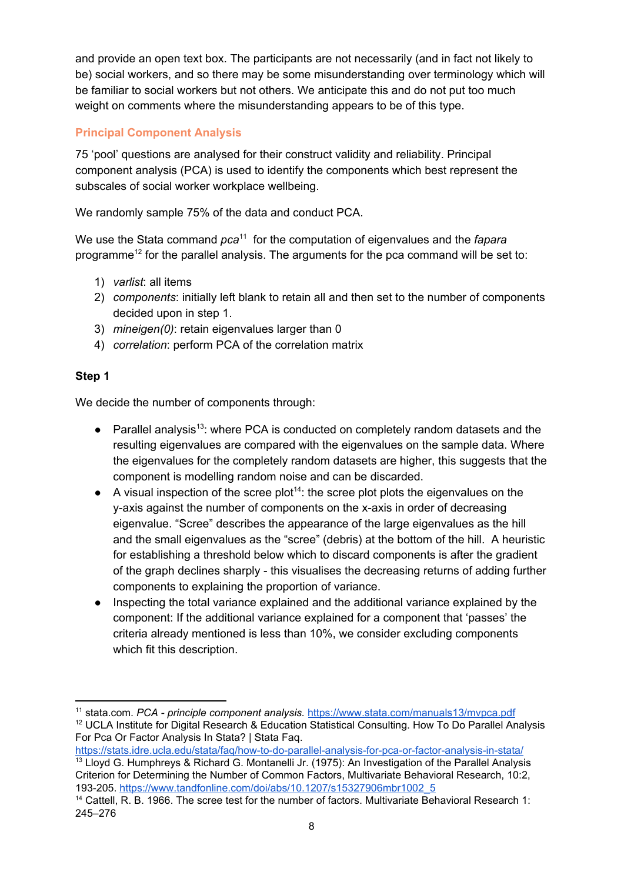and provide an open text box. The participants are not necessarily (and in fact not likely to be) social workers, and so there may be some misunderstanding over terminology which will be familiar to social workers but not others. We anticipate this and do not put too much weight on comments where the misunderstanding appears to be of this type.

## <span id="page-7-0"></span>**Principal Component Analysis**

75 'pool' questions are analysed for their construct validity and reliability. Principal component analysis (PCA) is used to identify the components which best represent the subscales of social worker workplace wellbeing.

We randomly sample 75% of the data and conduct PCA.

We use the Stata command *pca*<sup>11</sup> for the computation of eigenvalues and the *fapara* programme<sup>12</sup> for the parallel analysis. The arguments for the pca command will be set to:

- 1) *varlist*: all items
- 2) *components*: initially left blank to retain all and then set to the number of components decided upon in step 1.
- 3) *mineigen(0)*: retain eigenvalues larger than 0
- 4) *correlation*: perform PCA of the correlation matrix

## **Step 1**

We decide the number of components through:

- Parallel analysis<sup>13</sup>: where PCA is conducted on completely random datasets and the resulting eigenvalues are compared with the eigenvalues on the sample data. Where the eigenvalues for the completely random datasets are higher, this suggests that the component is modelling random noise and can be discarded.
- $\bullet$  A visual inspection of the scree plot<sup>14</sup>: the scree plot plots the eigenvalues on the y-axis against the number of components on the x-axis in order of decreasing eigenvalue. "Scree" describes the appearance of the large eigenvalues as the hill and the small eigenvalues as the "scree" (debris) at the bottom of the hill. A heuristic for establishing a threshold below which to discard components is after the gradient of the graph declines sharply - this visualises the decreasing returns of adding further components to explaining the proportion of variance.
- Inspecting the total variance explained and the additional variance explained by the component: If the additional variance explained for a component that 'passes' the criteria already mentioned is less than 10%, we consider excluding components which fit this description.

<sup>11</sup> stata.com. *PCA - principle component analysis.* <https://www.stata.com/manuals13/mvpca.pdf>

<sup>&</sup>lt;sup>12</sup> UCLA Institute for Digital Research & Education Statistical Consulting. How To Do Parallel Analysis For Pca Or Factor Analysis In Stata? | Stata Faq.

<https://stats.idre.ucla.edu/stata/faq/how-to-do-parallel-analysis-for-pca-or-factor-analysis-in-stata/>

<sup>&</sup>lt;sup>13</sup> Lloyd G. Humphreys & Richard G. Montanelli Jr. (1975): An Investigation of the Parallel Analysis Criterion for Determining the Number of Common Factors, Multivariate Behavioral Research, 10:2, 193-205. [https://www.tandfonline.com/doi/abs/10.1207/s15327906mbr1002\\_5](https://www.tandfonline.com/doi/abs/10.1207/s15327906mbr1002_5)

<sup>&</sup>lt;sup>14</sup> Cattell, R. B. 1966. The scree test for the number of factors. Multivariate Behavioral Research 1: 245–276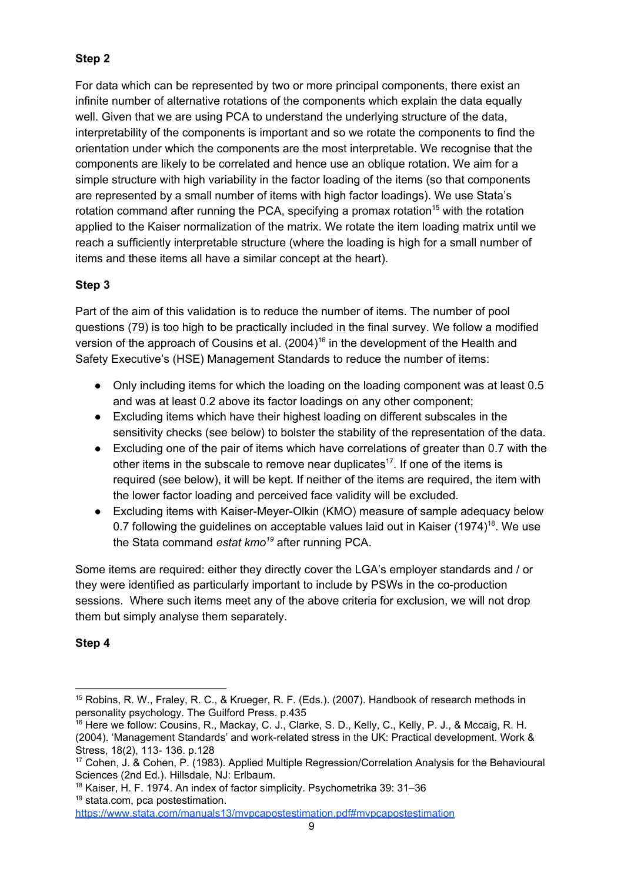## **Step 2**

For data which can be represented by two or more principal components, there exist an infinite number of alternative rotations of the components which explain the data equally well. Given that we are using PCA to understand the underlying structure of the data, interpretability of the components is important and so we rotate the components to find the orientation under which the components are the most interpretable. We recognise that the components are likely to be correlated and hence use an oblique rotation. We aim for a simple structure with high variability in the factor loading of the items (so that components are represented by a small number of items with high factor loadings). We use Stata's rotation command after running the PCA, specifying a promax rotation<sup>15</sup> with the rotation applied to the Kaiser normalization of the matrix. We rotate the item loading matrix until we reach a sufficiently interpretable structure (where the loading is high for a small number of items and these items all have a similar concept at the heart).

## **Step 3**

Part of the aim of this validation is to reduce the number of items. The number of pool questions (79) is too high to be practically included in the final survey. We follow a modified version of the approach of Cousins et al.  $(2004)^{16}$  in the development of the Health and Safety Executive's (HSE) Management Standards to reduce the number of items:

- Only including items for which the loading on the loading component was at least 0.5 and was at least 0.2 above its factor loadings on any other component;
- Excluding items which have their highest loading on different subscales in the sensitivity checks (see below) to bolster the stability of the representation of the data.
- Excluding one of the pair of items which have correlations of greater than 0.7 with the other items in the subscale to remove near duplicates<sup>17</sup>. If one of the items is required (see below), it will be kept. If neither of the items are required, the item with the lower factor loading and perceived face validity will be excluded.
- Excluding items with Kaiser-Meyer-Olkin (KMO) measure of sample adequacy below 0.7 following the guidelines on acceptable values laid out in Kaiser  $(1974)^{18}$ . We use the Stata command *estat kmo<sup>19</sup>* after running PCA.

Some items are required: either they directly cover the LGA's employer standards and / or they were identified as particularly important to include by PSWs in the co-production sessions. Where such items meet any of the above criteria for exclusion, we will not drop them but simply analyse them separately.

## **Step 4**

<sup>15</sup> Robins, R. W., Fraley, R. C., & Krueger, R. F. (Eds.). (2007). Handbook of research methods in personality psychology. The Guilford Press. p.435

<sup>&</sup>lt;sup>16</sup> Here we follow: Cousins, R., Mackay, C. J., Clarke, S. D., Kelly, C., Kelly, P. J., & Mccaig, R. H. (2004). 'Management Standards' and work-related stress in the UK: Practical development. Work & Stress, 18(2), 113- 136. p.128

<sup>17</sup> Cohen, J. & Cohen, P. (1983). Applied Multiple Regression/Correlation Analysis for the Behavioural Sciences (2nd Ed.). Hillsdale, NJ: Erlbaum.

<sup>18</sup> Kaiser, H. F. 1974. An index of factor simplicity. Psychometrika 39: 31–36

<sup>19</sup> stata.com, pca postestimation.

<https://www.stata.com/manuals13/mvpcapostestimation.pdf#mvpcapostestimation>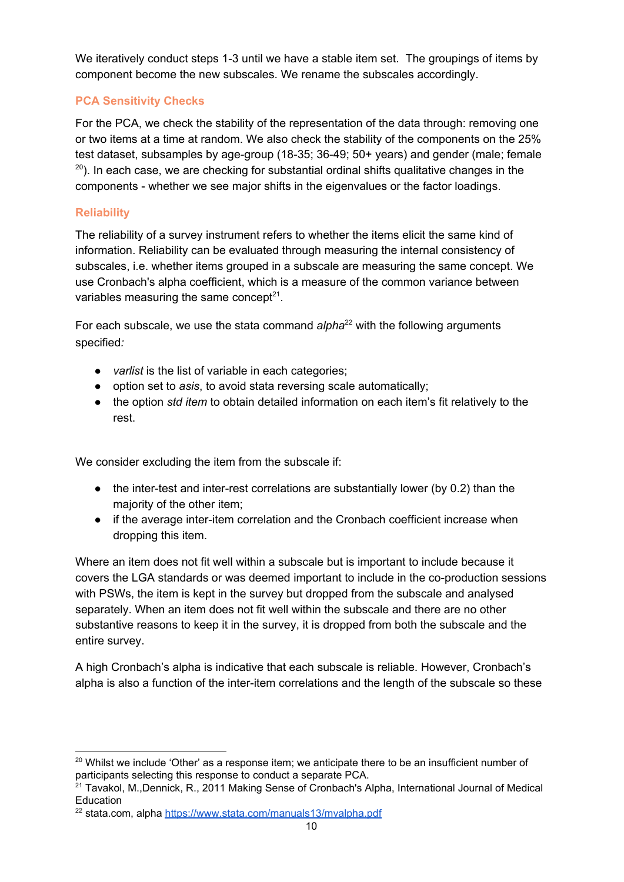We iteratively conduct steps 1-3 until we have a stable item set. The groupings of items by component become the new subscales. We rename the subscales accordingly.

## **PCA Sensitivity Checks**

For the PCA, we check the stability of the representation of the data through: removing one or two items at a time at random. We also check the stability of the components on the 25% test dataset, subsamples by age-group (18-35; 36-49; 50+ years) and gender (male; female  $^{20}$ ). In each case, we are checking for substantial ordinal shifts qualitative changes in the components - whether we see major shifts in the eigenvalues or the factor loadings.

## <span id="page-9-0"></span>**Reliability**

The reliability of a survey instrument refers to whether the items elicit the same kind of information. Reliability can be evaluated through measuring the internal consistency of subscales, i.e. whether items grouped in a subscale are measuring the same concept. We use Cronbach's alpha coefficient, which is a measure of the common variance between variables measuring the same concept $21$ .

For each subscale, we use the stata command alpha<sup>22</sup> with the following arguments specified*:*

- *varlist* is the list of variable in each categories;
- option set to *asis*, to avoid stata reversing scale automatically;
- the option *std item* to obtain detailed information on each item's fit relatively to the rest.

We consider excluding the item from the subscale if:

- the inter-test and inter-rest correlations are substantially lower (by 0.2) than the majority of the other item;
- if the average inter-item correlation and the Cronbach coefficient increase when dropping this item.

Where an item does not fit well within a subscale but is important to include because it covers the LGA standards or was deemed important to include in the co-production sessions with PSWs, the item is kept in the survey but dropped from the subscale and analysed separately. When an item does not fit well within the subscale and there are no other substantive reasons to keep it in the survey, it is dropped from both the subscale and the entire survey.

A high Cronbach's alpha is indicative that each subscale is reliable. However, Cronbach's alpha is also a function of the inter-item correlations and the length of the subscale so these

<sup>&</sup>lt;sup>20</sup> Whilst we include 'Other' as a response item; we anticipate there to be an insufficient number of participants selecting this response to conduct a separate PCA.

<sup>&</sup>lt;sup>21</sup> Tavakol, M.,Dennick, R., 2011 Making Sense of Cronbach's Alpha, International Journal of Medical Education

<sup>&</sup>lt;sup>22</sup> stata.com, alpha <https://www.stata.com/manuals13/mvalpha.pdf>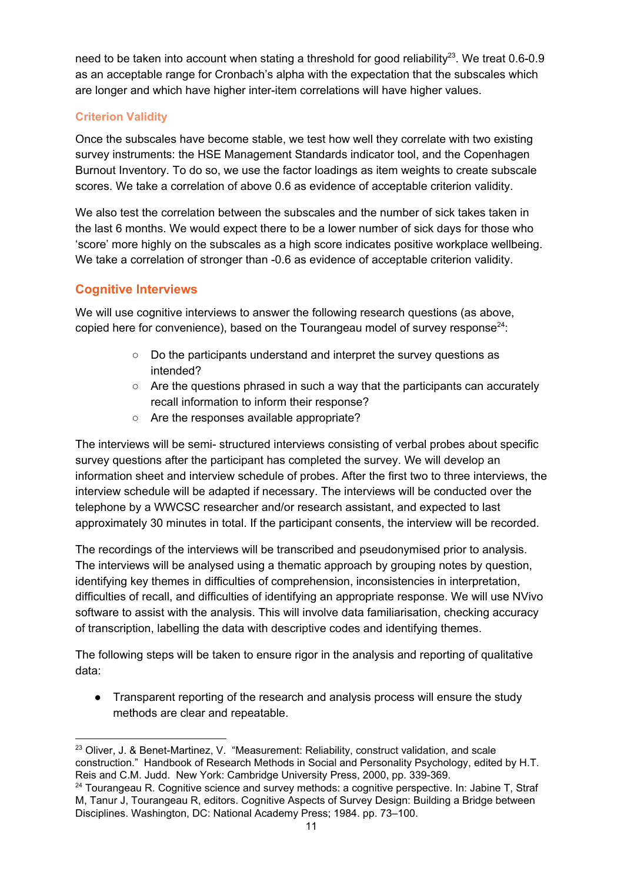need to be taken into account when stating a threshold for good reliability<sup>23</sup>. We treat 0.6-0.9 as an acceptable range for Cronbach's alpha with the expectation that the subscales which are longer and which have higher inter-item correlations will have higher values.

## **Criterion Validity**

Once the subscales have become stable, we test how well they correlate with two existing survey instruments: the HSE Management Standards indicator tool, and the Copenhagen Burnout Inventory. To do so, we use the factor loadings as item weights to create subscale scores. We take a correlation of above 0.6 as evidence of acceptable criterion validity.

We also test the correlation between the subscales and the number of sick takes taken in the last 6 months. We would expect there to be a lower number of sick days for those who 'score' more highly on the subscales as a high score indicates positive workplace wellbeing. We take a correlation of stronger than -0.6 as evidence of acceptable criterion validity.

## **Cognitive Interviews**

We will use cognitive interviews to answer the following research questions (as above, copied here for convenience), based on the Tourangeau model of survey response<sup>24</sup>:

- Do the participants understand and interpret the survey questions as intended?
- Are the questions phrased in such a way that the participants can accurately recall information to inform their response?
- Are the responses available appropriate?

The interviews will be semi- structured interviews consisting of verbal probes about specific survey questions after the participant has completed the survey. We will develop an information sheet and interview schedule of probes. After the first two to three interviews, the interview schedule will be adapted if necessary. The interviews will be conducted over the telephone by a WWCSC researcher and/or research assistant, and expected to last approximately 30 minutes in total. If the participant consents, the interview will be recorded.

The recordings of the interviews will be transcribed and pseudonymised prior to analysis. The interviews will be analysed using a thematic approach by grouping notes by question, identifying key themes in difficulties of comprehension, inconsistencies in interpretation, difficulties of recall, and difficulties of identifying an appropriate response. We will use NVivo software to assist with the analysis. This will involve data familiarisation, checking accuracy of transcription, labelling the data with descriptive codes and identifying themes.

The following steps will be taken to ensure rigor in the analysis and reporting of qualitative data:

● Transparent reporting of the research and analysis process will ensure the study methods are clear and repeatable.

 $23$  Oliver, J. & Benet-Martinez, V. "Measurement: Reliability, construct validation, and scale construction." Handbook of Research Methods in Social and Personality Psychology, edited by H.T. Reis and C.M. Judd. New York: Cambridge University Press, 2000, pp. 339-369.

<sup>&</sup>lt;sup>24</sup> Tourangeau R. Cognitive science and survey methods: a cognitive perspective. In: Jabine T, Straf M, Tanur J, Tourangeau R, editors. Cognitive Aspects of Survey Design: Building a Bridge between Disciplines. Washington, DC: National Academy Press; 1984. pp. 73–100.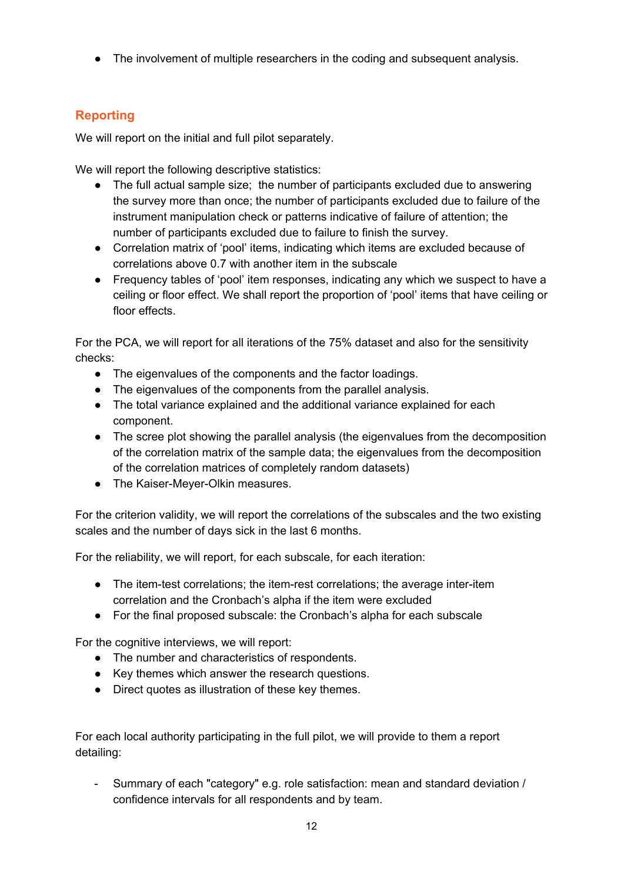● The involvement of multiple researchers in the coding and subsequent analysis.

## <span id="page-11-0"></span>**Reporting**

We will report on the initial and full pilot separately.

We will report the following descriptive statistics:

- The full actual sample size; the number of participants excluded due to answering the survey more than once; the number of participants excluded due to failure of the instrument manipulation check or patterns indicative of failure of attention; the number of participants excluded due to failure to finish the survey.
- Correlation matrix of 'pool' items, indicating which items are excluded because of correlations above 0.7 with another item in the subscale
- Frequency tables of 'pool' item responses, indicating any which we suspect to have a ceiling or floor effect. We shall report the proportion of 'pool' items that have ceiling or floor effects.

For the PCA, we will report for all iterations of the 75% dataset and also for the sensitivity checks:

- The eigenvalues of the components and the factor loadings.
- The eigenvalues of the components from the parallel analysis.
- The total variance explained and the additional variance explained for each component.
- The scree plot showing the parallel analysis (the eigenvalues from the decomposition of the correlation matrix of the sample data; the eigenvalues from the decomposition of the correlation matrices of completely random datasets)
- The Kaiser-Meyer-Olkin measures.

For the criterion validity, we will report the correlations of the subscales and the two existing scales and the number of days sick in the last 6 months.

For the reliability, we will report, for each subscale, for each iteration:

- The item-test correlations; the item-rest correlations; the average inter-item correlation and the Cronbach's alpha if the item were excluded
- For the final proposed subscale: the Cronbach's alpha for each subscale

For the cognitive interviews, we will report:

- The number and characteristics of respondents.
- Key themes which answer the research questions.
- Direct quotes as illustration of these key themes.

For each local authority participating in the full pilot, we will provide to them a report detailing:

- Summary of each "category" e.g. role satisfaction: mean and standard deviation / confidence intervals for all respondents and by team.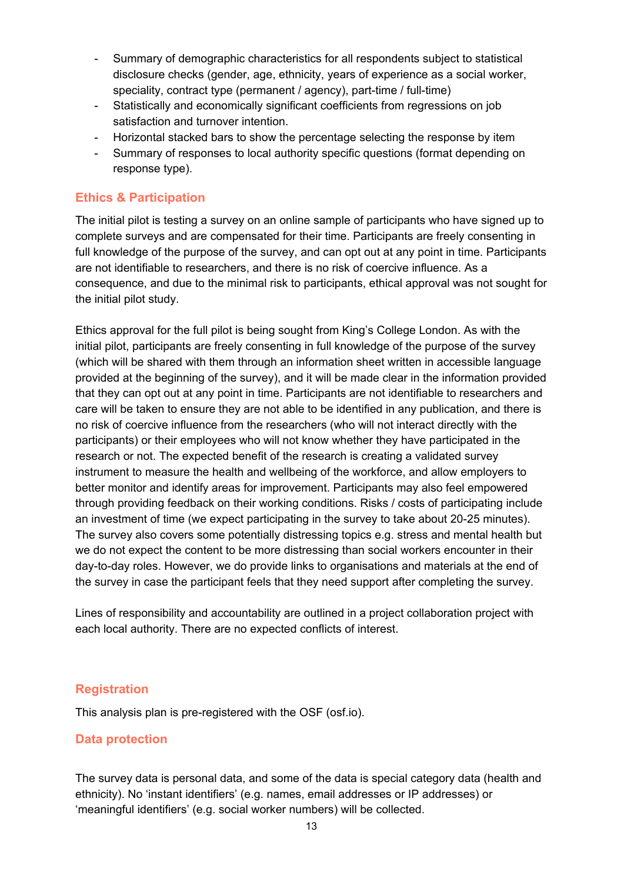- Summary of demographic characteristics for all respondents subject to statistical disclosure checks (gender, age, ethnicity, years of experience as a social worker, speciality, contract type (permanent / agency), part-time / full-time)
- Statistically and economically significant coefficients from regressions on job satisfaction and turnover intention.
- Horizontal stacked bars to show the percentage selecting the response by item
- Summary of responses to local authority specific questions (format depending on response type).

### <span id="page-12-0"></span>**Ethics & Participation**

The initial pilot is testing a survey on an online sample of participants who have signed up to complete surveys and are compensated for their time. Participants are freely consenting in full knowledge of the purpose of the survey, and can opt out at any point in time. Participants are not identifiable to researchers, and there is no risk of coercive influence. As a consequence, and due to the minimal risk to participants, ethical approval was not sought for the initial pilot study.

Ethics approval for the full pilot is being sought from King's College London. As with the initial pilot, participants are freely consenting in full knowledge of the purpose of the survey (which will be shared with them through an information sheet written in accessible language provided at the beginning of the survey), and it will be made clear in the information provided that they can opt out at any point in time. Participants are not identifiable to researchers and care will be taken to ensure they are not able to be identified in any publication, and there is no risk of coercive influence from the researchers (who will not interact directly with the participants) or their employees who will not know whether they have participated in the research or not. The expected benefit of the research is creating a validated survey instrument to measure the health and wellbeing of the workforce, and allow employers to better monitor and identify areas for improvement. Participants may also feel empowered through providing feedback on their working conditions. Risks / costs of participating include an investment of time (we expect participating in the survey to take about 20-25 minutes). The survey also covers some potentially distressing topics e.g. stress and mental health but we do not expect the content to be more distressing than social workers encounter in their day-to-day roles. However, we do provide links to organisations and materials at the end of the survey in case the participant feels that they need support after completing the survey.

Lines of responsibility and accountability are outlined in a project collaboration project with each local authority. There are no expected conflicts of interest.

#### <span id="page-12-1"></span>**Registration**

This analysis plan is pre-registered with the OSF (osf.io).

#### <span id="page-12-2"></span>**Data protection**

The survey data is personal data, and some of the data is special category data (health and ethnicity). No 'instant identifiers' (e.g. names, email addresses or IP addresses) or 'meaningful identifiers' (e.g. social worker numbers) will be collected.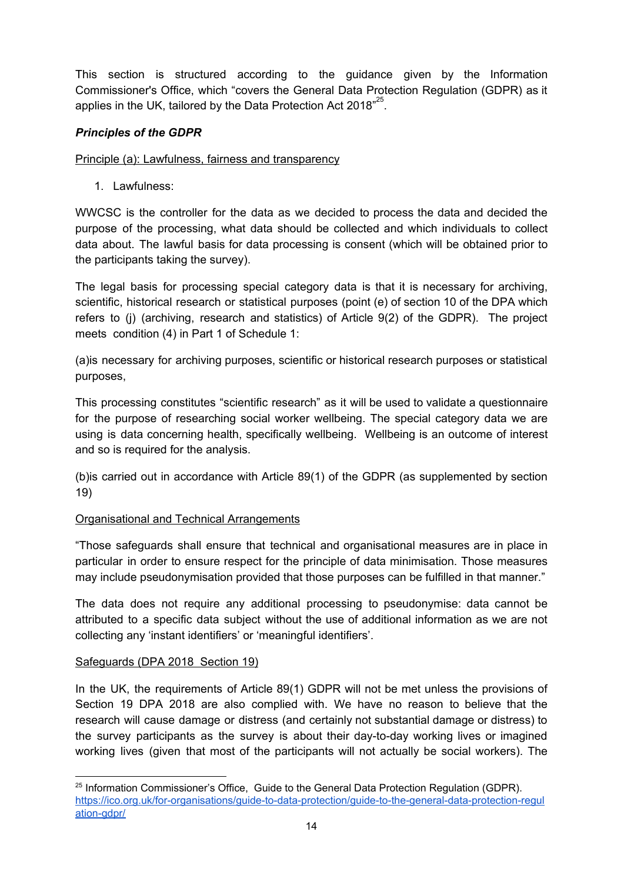This section is structured according to the guidance given by the Information Commissioner's Office, which "covers the General Data Protection Regulation (GDPR) as it applies in the UK, tailored by the Data Protection Act 2018" $^{25}$ .

### *Principles of the GDPR*

Principle (a): Lawfulness, fairness and transparency

1. Lawfulness:

WWCSC is the controller for the data as we decided to process the data and decided the purpose of the processing, what data should be collected and which individuals to collect data about. The lawful basis for data processing is consent (which will be obtained prior to the participants taking the survey).

The legal basis for processing special category data is that it is necessary for archiving, scientific, historical research or statistical purposes (point (e) of section 10 of the DPA which refers to (j) (archiving, research and statistics) of Article 9(2) of the GDPR). The project meets condition (4) in Part 1 of Schedule 1:

(a)is necessary for archiving purposes, scientific or historical research purposes or statistical purposes,

This processing constitutes "scientific research" as it will be used to validate a questionnaire for the purpose of researching social worker wellbeing. The special category data we are using is data concerning health, specifically wellbeing. Wellbeing is an outcome of interest and so is required for the analysis.

(b)is carried out in accordance with Article 89(1) of the GDPR (as supplemented by section 19)

#### Organisational and Technical Arrangements

"Those safeguards shall ensure that technical and organisational measures are in place in particular in order to ensure respect for the principle of data minimisation. Those measures may include pseudonymisation provided that those purposes can be fulfilled in that manner."

The data does not require any additional processing to pseudonymise: data cannot be attributed to a specific data subject without the use of additional information as we are not collecting any 'instant identifiers' or 'meaningful identifiers'.

#### Safeguards (DPA 2018 Section 19)

In the UK, the requirements of Article 89(1) GDPR will not be met unless the provisions of Section 19 DPA 2018 are also complied with. We have no reason to believe that the research will cause damage or distress (and certainly not substantial damage or distress) to the survey participants as the survey is about their day-to-day working lives or imagined working lives (given that most of the participants will not actually be social workers). The

<sup>&</sup>lt;sup>25</sup> Information Commissioner's Office, Guide to the General Data Protection Regulation (GDPR). [https://ico.org.uk/for-organisations/guide-to-data-protection/guide-to-the-general-data-protection-regul](https://ico.org.uk/for-organisations/guide-to-data-protection/guide-to-the-general-data-protection-regulation-gdpr/) [ation-gdpr/](https://ico.org.uk/for-organisations/guide-to-data-protection/guide-to-the-general-data-protection-regulation-gdpr/)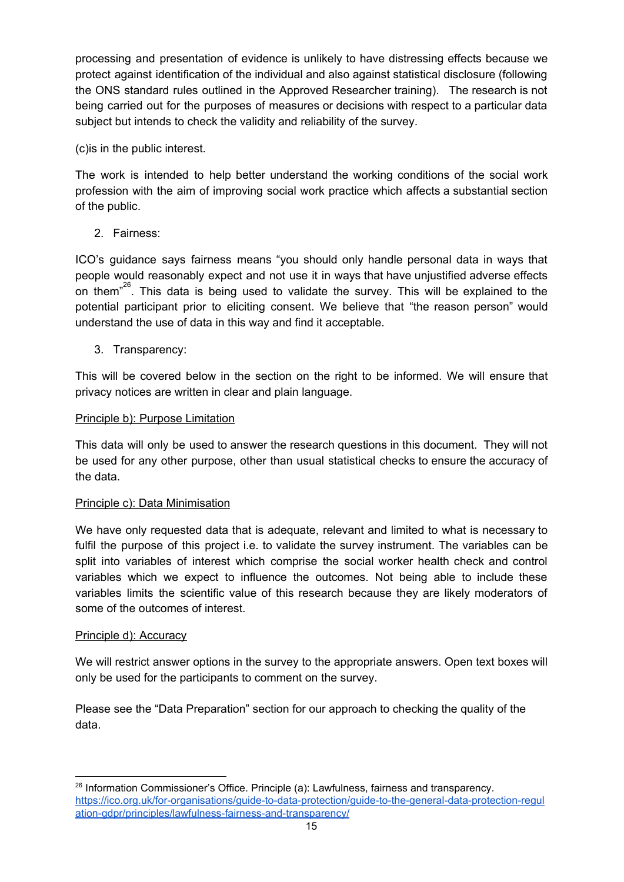processing and presentation of evidence is unlikely to have distressing effects because we protect against identification of the individual and also against statistical disclosure (following the ONS standard rules outlined in the Approved Researcher training). The research is not being carried out for the purposes of measures or decisions with respect to a particular data subject but intends to check the validity and reliability of the survey.

(c)is in the public interest.

The work is intended to help better understand the working conditions of the social work profession with the aim of improving social work practice which affects a substantial section of the public.

2. Fairness:

ICO's guidance says fairness means "you should only handle personal data in ways that people would reasonably expect and not use it in ways that have unjustified adverse effects on them<sup> $26$ </sup>. This data is being used to validate the survey. This will be explained to the potential participant prior to eliciting consent. We believe that "the reason person" would understand the use of data in this way and find it acceptable.

3. Transparency:

This will be covered below in the section on the right to be informed. We will ensure that privacy notices are written in clear and plain language.

### Principle b): Purpose Limitation

This data will only be used to answer the research questions in this document. They will not be used for any other purpose, other than usual statistical checks to ensure the accuracy of the data.

#### Principle c): Data Minimisation

We have only requested data that is adequate, relevant and limited to what is necessary to fulfil the purpose of this project i.e. to validate the survey instrument. The variables can be split into variables of interest which comprise the social worker health check and control variables which we expect to influence the outcomes. Not being able to include these variables limits the scientific value of this research because they are likely moderators of some of the outcomes of interest.

#### Principle d): Accuracy

We will restrict answer options in the survey to the appropriate answers. Open text boxes will only be used for the participants to comment on the survey.

Please see the "Data Preparation" section for our approach to checking the quality of the data.

<sup>&</sup>lt;sup>26</sup> Information Commissioner's Office. Principle (a): Lawfulness, fairness and transparency. [https://ico.org.uk/for-organisations/guide-to-data-protection/guide-to-the-general-data-protection-regul](https://ico.org.uk/for-organisations/guide-to-data-protection/guide-to-the-general-data-protection-regulation-gdpr/principles/lawfulness-fairness-and-transparency/) [ation-gdpr/principles/lawfulness-fairness-and-transparency/](https://ico.org.uk/for-organisations/guide-to-data-protection/guide-to-the-general-data-protection-regulation-gdpr/principles/lawfulness-fairness-and-transparency/)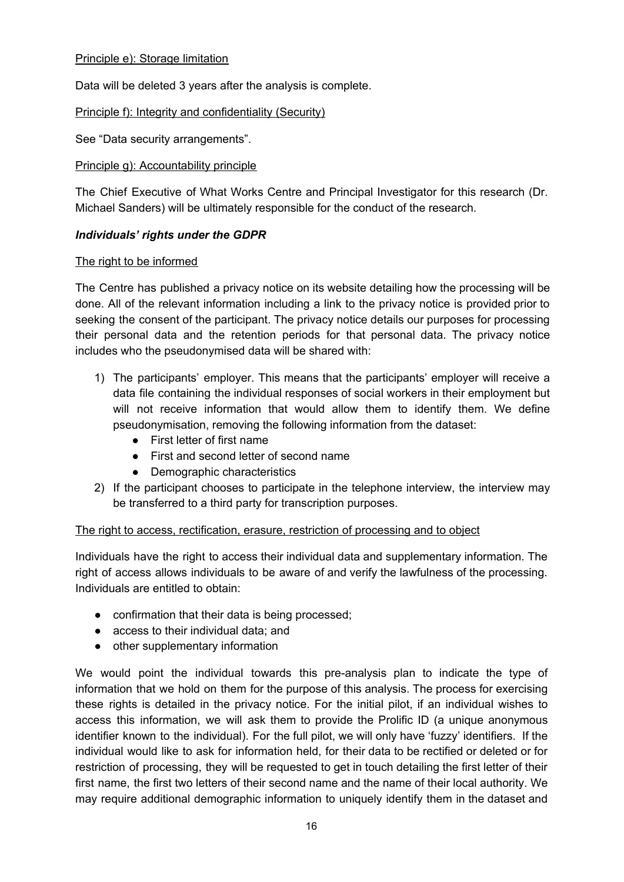#### Principle e): Storage limitation

Data will be deleted 3 years after the analysis is complete.

#### Principle f): Integrity and confidentiality (Security)

See "Data security arrangements".

#### Principle g): Accountability principle

The Chief Executive of What Works Centre and Principal Investigator for this research (Dr. Michael Sanders) will be ultimately responsible for the conduct of the research.

#### *Individuals' rights under the GDPR*

#### The right to be informed

The Centre has published a privacy notice on its website detailing how the processing will be done. All of the relevant information including a link to the privacy notice is provided prior to seeking the consent of the participant. The privacy notice details our purposes for processing their personal data and the retention periods for that personal data. The privacy notice includes who the pseudonymised data will be shared with:

- 1) The participants' employer. This means that the participants' employer will receive a data file containing the individual responses of social workers in their employment but will not receive information that would allow them to identify them. We define pseudonymisation, removing the following information from the dataset:
	- First letter of first name
	- First and second letter of second name
	- Demographic characteristics
- 2) If the participant chooses to participate in the telephone interview, the interview may be transferred to a third party for transcription purposes.

#### The right to access, rectification, erasure, restriction of processing and to object

Individuals have the right to access their individual data and supplementary information. The right of access allows individuals to be aware of and verify the lawfulness of the processing. Individuals are entitled to obtain:

- confirmation that their data is being processed;
- access to their individual data; and
- other supplementary information

We would point the individual towards this pre-analysis plan to indicate the type of information that we hold on them for the purpose of this analysis. The process for exercising these rights is detailed in the privacy notice. For the initial pilot, if an individual wishes to access this information, we will ask them to provide the Prolific ID (a unique anonymous identifier known to the individual). For the full pilot, we will only have 'fuzzy' identifiers. If the individual would like to ask for information held, for their data to be rectified or deleted or for restriction of processing, they will be requested to get in touch detailing the first letter of their first name, the first two letters of their second name and the name of their local authority. We may require additional demographic information to uniquely identify them in the dataset and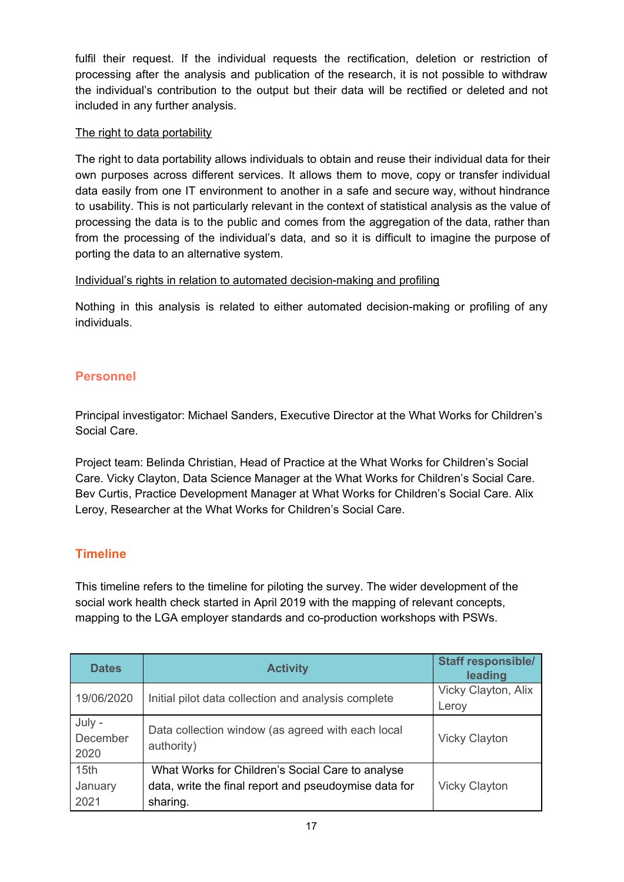fulfil their request. If the individual requests the rectification, deletion or restriction of processing after the analysis and publication of the research, it is not possible to withdraw the individual's contribution to the output but their data will be rectified or deleted and not included in any further analysis.

#### The right to data portability

The right to data portability allows individuals to obtain and reuse their individual data for their own purposes across different services. It allows them to move, copy or transfer individual data easily from one IT environment to another in a safe and secure way, without hindrance to usability. This is not particularly relevant in the context of statistical analysis as the value of processing the data is to the public and comes from the aggregation of the data, rather than from the processing of the individual's data, and so it is difficult to imagine the purpose of porting the data to an alternative system.

#### Individual's rights in relation to automated decision-making and profiling

Nothing in this analysis is related to either automated decision-making or profiling of any individuals.

## <span id="page-16-0"></span>**Personnel**

Principal investigator: Michael Sanders, Executive Director at the What Works for Children's Social Care.

Project team: Belinda Christian, Head of Practice at the What Works for Children's Social Care. Vicky Clayton, Data Science Manager at the What Works for Children's Social Care. Bev Curtis, Practice Development Manager at What Works for Children's Social Care. Alix Leroy, Researcher at the What Works for Children's Social Care.

## <span id="page-16-1"></span>**Timeline**

This timeline refers to the timeline for piloting the survey. The wider development of the social work health check started in April 2019 with the mapping of relevant concepts, mapping to the LGA employer standards and co-production workshops with PSWs.

| <b>Dates</b>               | <b>Activity</b>                                                 | <b>Staff responsible/</b><br>leading |
|----------------------------|-----------------------------------------------------------------|--------------------------------------|
| 19/06/2020                 | Initial pilot data collection and analysis complete             | Vicky Clayton, Alix<br>Leroy         |
|                            |                                                                 |                                      |
| July -<br>December<br>2020 | Data collection window (as agreed with each local<br>authority) | <b>Vicky Clayton</b>                 |
| 15 <sub>th</sub>           | What Works for Children's Social Care to analyse                |                                      |
| January                    | data, write the final report and pseudoymise data for           | <b>Vicky Clayton</b>                 |
| 2021                       | sharing.                                                        |                                      |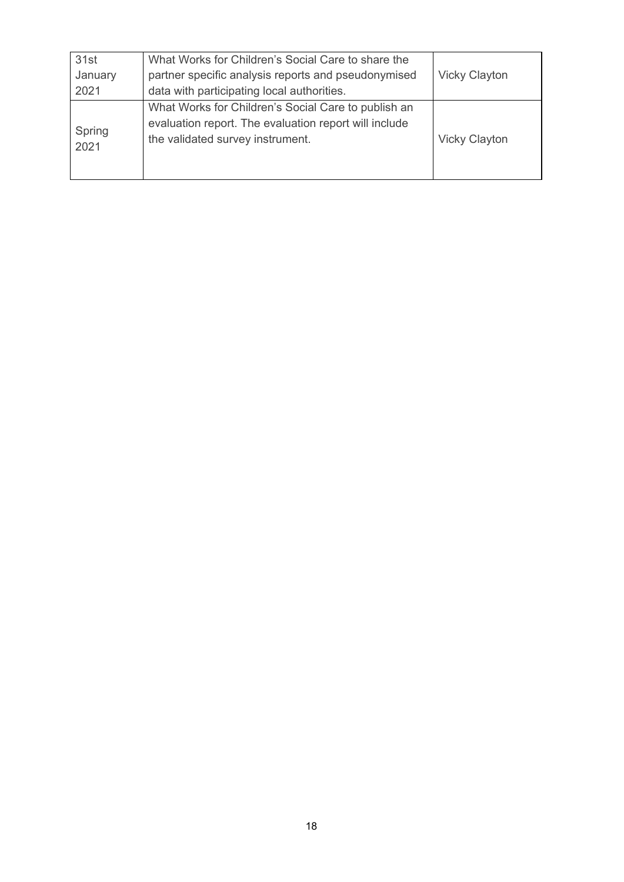| 31st           | What Works for Children's Social Care to share the                                                                                               |                      |
|----------------|--------------------------------------------------------------------------------------------------------------------------------------------------|----------------------|
| January        | partner specific analysis reports and pseudonymised                                                                                              | <b>Vicky Clayton</b> |
| 2021           | data with participating local authorities.                                                                                                       |                      |
| Spring<br>2021 | What Works for Children's Social Care to publish an<br>evaluation report. The evaluation report will include<br>the validated survey instrument. | <b>Vicky Clayton</b> |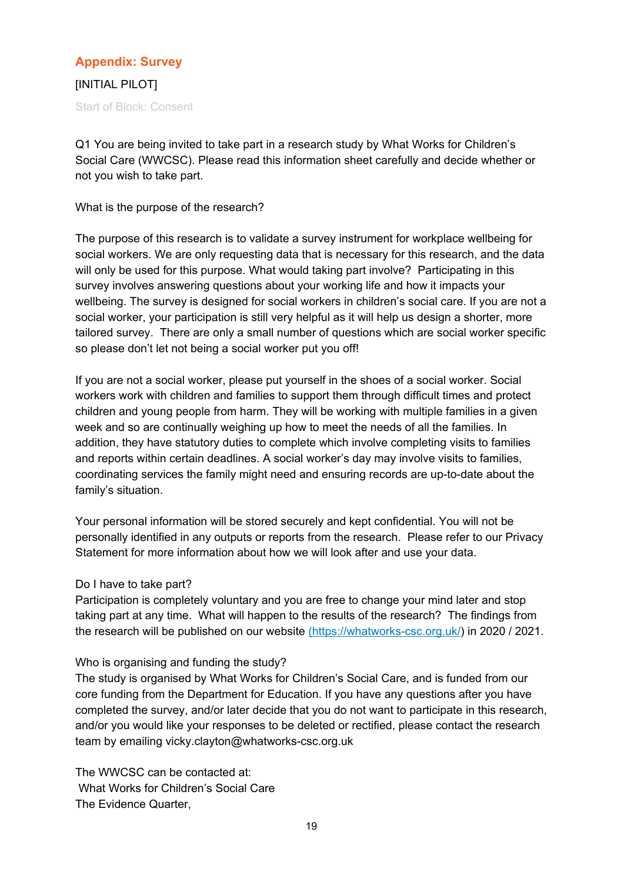## <span id="page-18-0"></span>**Appendix: Survey**

[INITIAL PILOT] Start of Block: Consent

Q1 You are being invited to take part in a research study by What Works for Children's Social Care (WWCSC). Please read this information sheet carefully and decide whether or not you wish to take part.

What is the purpose of the research?

The purpose of this research is to validate a survey instrument for workplace wellbeing for social workers. We are only requesting data that is necessary for this research, and the data will only be used for this purpose. What would taking part involve? Participating in this survey involves answering questions about your working life and how it impacts your wellbeing. The survey is designed for social workers in children's social care. If you are not a social worker, your participation is still very helpful as it will help us design a shorter, more tailored survey. There are only a small number of questions which are social worker specific so please don't let not being a social worker put you off!

If you are not a social worker, please put yourself in the shoes of a social worker. Social workers work with children and families to support them through difficult times and protect children and young people from harm. They will be working with multiple families in a given week and so are continually weighing up how to meet the needs of all the families. In addition, they have statutory duties to complete which involve completing visits to families and reports within certain deadlines. A social worker's day may involve visits to families, coordinating services the family might need and ensuring records are up-to-date about the family's situation.

Your personal information will be stored securely and kept confidential. You will not be personally identified in any outputs or reports from the research. Please refer to our Privacy Statement for more information about how we will look after and use your data.

#### Do I have to take part?

Participation is completely voluntary and you are free to change your mind later and stop taking part at any time. What will happen to the results of the research? The findings from th[e](https://whatworks-csc.org.uk/) research will be published on our website [\(https://whatworks-csc.org.uk/](https://whatworks-csc.org.uk/)) in 2020 / 2021.

#### Who is organising and funding the study?

The study is organised by What Works for Children's Social Care, and is funded from our core funding from the Department for Education. If you have any questions after you have completed the survey, and/or later decide that you do not want to participate in this research, and/or you would like your responses to be deleted or rectified, please contact the research team by emailing vicky.clayton@whatworks-csc.org.uk

The WWCSC can be contacted at: What Works for Children's Social Care The Evidence Quarter,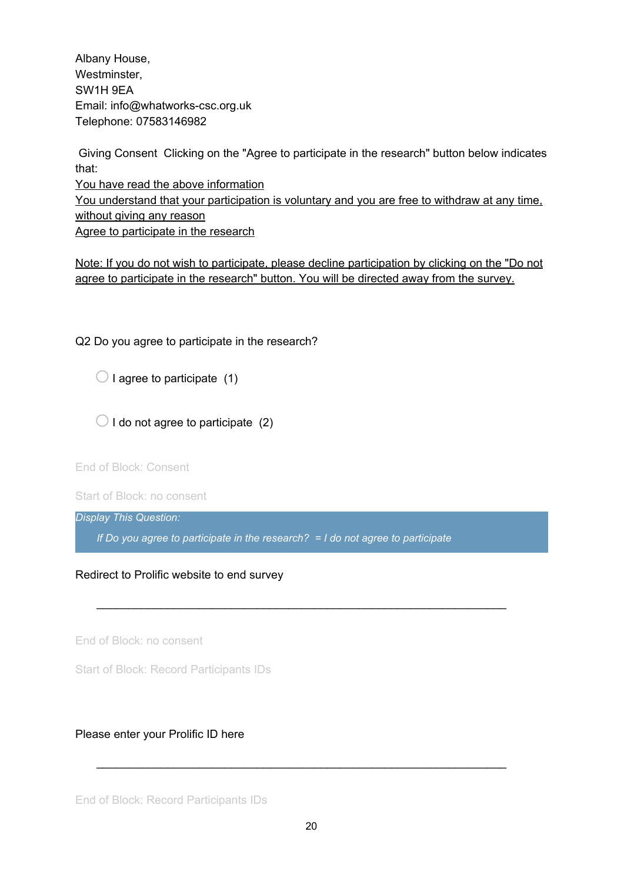Albany House, Westminster, SW1H 9EA Email: info@whatworks-csc.org.uk Telephone: 07583146982

Giving Consent Clicking on the "Agree to participate in the research" button below indicates that:

You have read the above information You understand that your participation is voluntary and you are free to withdraw at any time, without giving any reason Agree to participate in the research

Note: If you do not wish to participate, please decline participation by clicking on the "Do not agree to participate in the research" button. You will be directed away from the survey.

Q2 Do you agree to participate in the research?

 $\bigcirc$  I agree to participate (1)

 $\bigcirc$  I do not agree to participate (2)

End of Block: Consent

Start of Block: no consent

*Display This Question:*

*If Do you agree to participate in the research? = I do not agree to participate*

\_\_\_\_\_\_\_\_\_\_\_\_\_\_\_\_\_\_\_\_\_\_\_\_\_\_\_\_\_\_\_\_\_\_\_\_\_\_\_\_\_\_\_\_\_\_\_\_\_\_\_\_\_\_\_\_\_\_\_\_\_\_\_\_

Redirect to Prolific website to end survey

End of Block: no consent

Start of Block: Record Participants IDs

#### Please enter your Prolific ID here

End of Block: Record Participants IDs

\_\_\_\_\_\_\_\_\_\_\_\_\_\_\_\_\_\_\_\_\_\_\_\_\_\_\_\_\_\_\_\_\_\_\_\_\_\_\_\_\_\_\_\_\_\_\_\_\_\_\_\_\_\_\_\_\_\_\_\_\_\_\_\_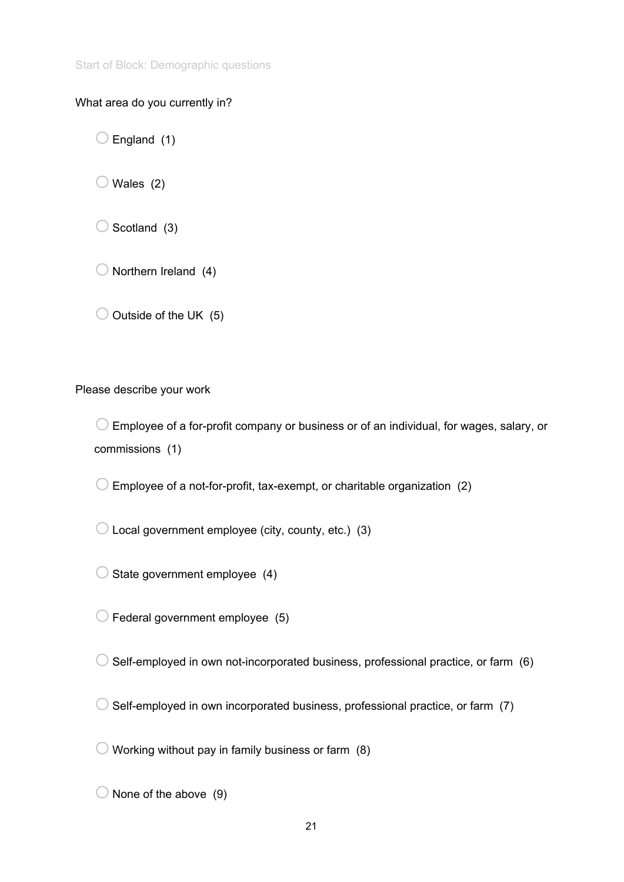Start of Block: Demographic questions

### What area do you currently in?

 $\bigcirc$  England (1)

 $\bigcirc$  Wales (2)

 $\bigcirc$  Scotland (3)

 $\bigcirc$  Northern Ireland (4)

 $\bigcirc$  Outside of the UK (5)

Please describe your work

 $\bigcirc$  Employee of a for-profit company or business or of an individual, for wages, salary, or commissions (1)

 $\bigcirc$  Employee of a not-for-profit, tax-exempt, or charitable organization (2)

 $\bigcirc$  Local government employee (city, county, etc.) (3)

 $\bigcirc$  State government employee (4)

 $\bigcirc$  Federal government employee (5)

 $\bigcirc$  Self-employed in own not-incorporated business, professional practice, or farm (6)

 $\bigcirc$  Self-employed in own incorporated business, professional practice, or farm (7)

 $\bigcirc$  Working without pay in family business or farm (8)

 $\bigcirc$  None of the above (9)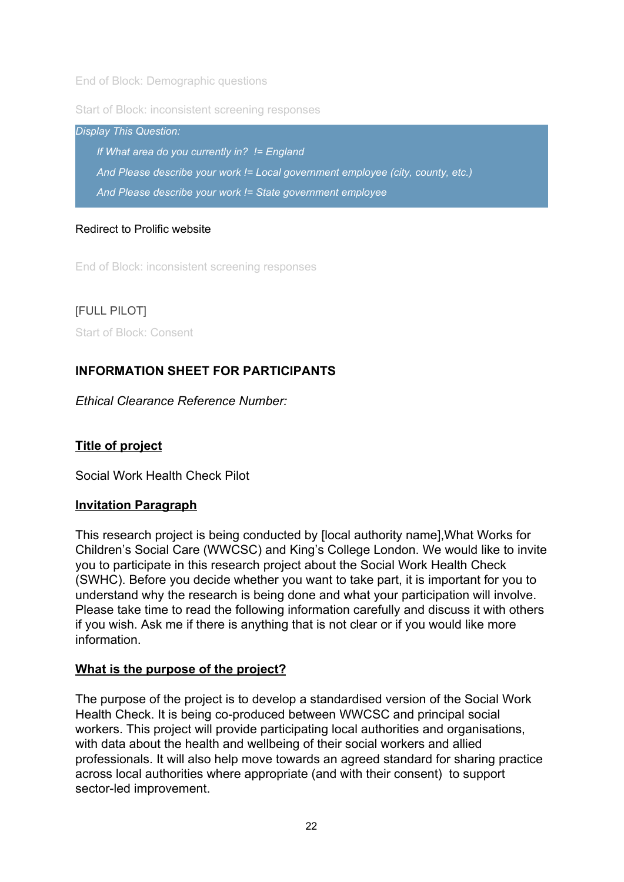End of Block: Demographic questions

Start of Block: inconsistent screening responses

*Display This Question: If What area do you currently in? != England And Please describe your work != Local government employee (city, county, etc.) And Please describe your work != State government employee*

### Redirect to Prolific website

End of Block: inconsistent screening responses

[FULL PILOT] Start of Block: Consent

## **INFORMATION SHEET FOR PARTICIPANTS**

*Ethical Clearance Reference Number:*

## **Title of project**

Social Work Health Check Pilot

## **Invitation Paragraph**

This research project is being conducted by [local authority name],What Works for Children's Social Care (WWCSC) and King's College London. We would like to invite you to participate in this research project about the Social Work Health Check (SWHC). Before you decide whether you want to take part, it is important for you to understand why the research is being done and what your participation will involve. Please take time to read the following information carefully and discuss it with others if you wish. Ask me if there is anything that is not clear or if you would like more information.

#### **What is the purpose of the project?**

The purpose of the project is to develop a standardised version of the Social Work Health Check. It is being co-produced between WWCSC and principal social workers. This project will provide participating local authorities and organisations, with data about the health and wellbeing of their social workers and allied professionals. It will also help move towards an agreed standard for sharing practice across local authorities where appropriate (and with their consent) to support sector-led improvement.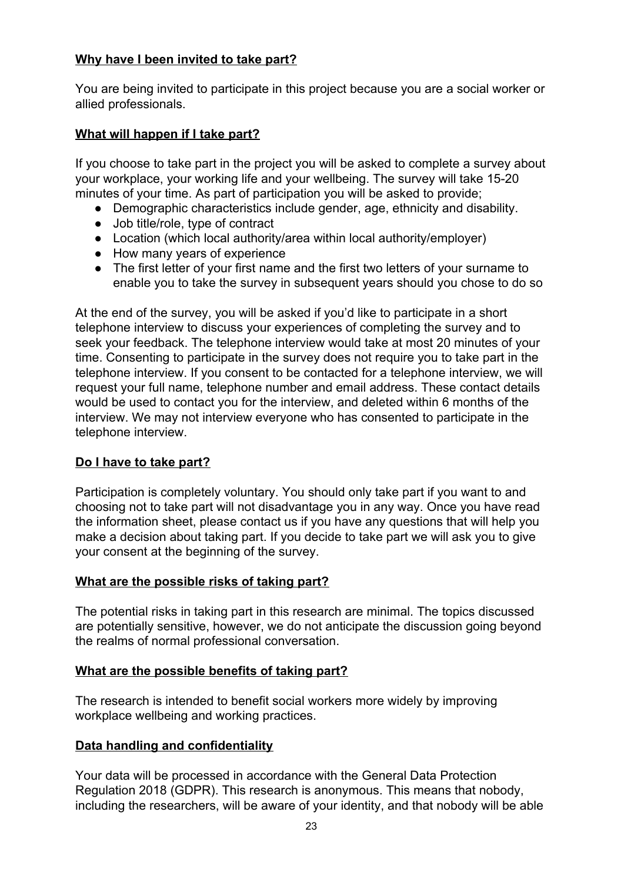## **Why have I been invited to take part?**

You are being invited to participate in this project because you are a social worker or allied professionals.

## **What will happen if I take part?**

If you choose to take part in the project you will be asked to complete a survey about your workplace, your working life and your wellbeing. The survey will take 15-20 minutes of your time. As part of participation you will be asked to provide;

- Demographic characteristics include gender, age, ethnicity and disability.
- Job title/role, type of contract
- Location (which local authority/area within local authority/employer)
- How many years of experience
- The first letter of your first name and the first two letters of your surname to enable you to take the survey in subsequent years should you chose to do so

At the end of the survey, you will be asked if you'd like to participate in a short telephone interview to discuss your experiences of completing the survey and to seek your feedback. The telephone interview would take at most 20 minutes of your time. Consenting to participate in the survey does not require you to take part in the telephone interview. If you consent to be contacted for a telephone interview, we will request your full name, telephone number and email address. These contact details would be used to contact you for the interview, and deleted within 6 months of the interview. We may not interview everyone who has consented to participate in the telephone interview.

## **Do I have to take part?**

Participation is completely voluntary. You should only take part if you want to and choosing not to take part will not disadvantage you in any way. Once you have read the information sheet, please contact us if you have any questions that will help you make a decision about taking part. If you decide to take part we will ask you to give your consent at the beginning of the survey.

## **What are the possible risks of taking part?**

The potential risks in taking part in this research are minimal. The topics discussed are potentially sensitive, however, we do not anticipate the discussion going beyond the realms of normal professional conversation.

## **What are the possible benefits of taking part?**

The research is intended to benefit social workers more widely by improving workplace wellbeing and working practices.

## **Data handling and confidentiality**

Your data will be processed in accordance with the General Data Protection Regulation 2018 (GDPR). This research is anonymous. This means that nobody, including the researchers, will be aware of your identity, and that nobody will be able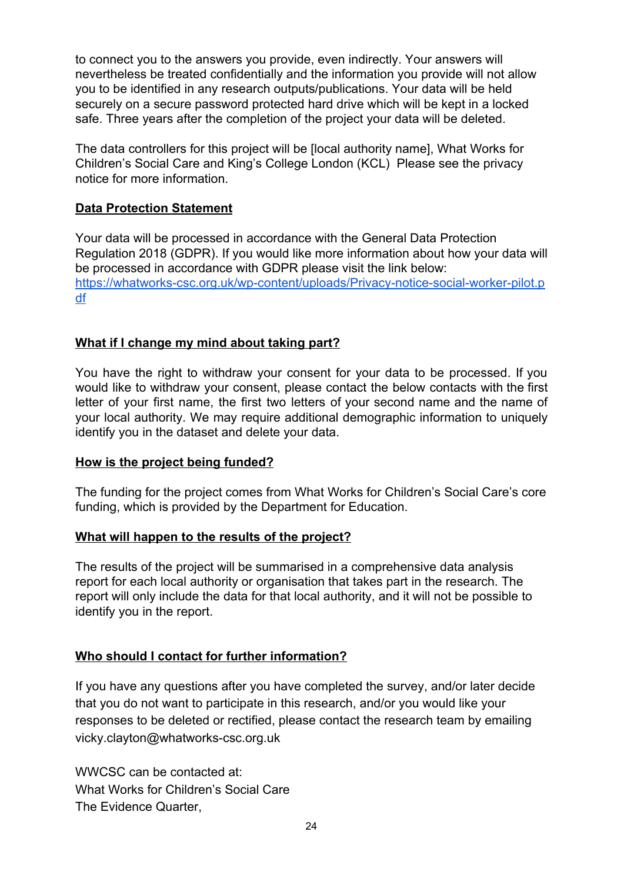to connect you to the answers you provide, even indirectly. Your answers will nevertheless be treated confidentially and the information you provide will not allow you to be identified in any research outputs/publications. Your data will be held securely on a secure password protected hard drive which will be kept in a locked safe. Three years after the completion of the project your data will be deleted.

The data controllers for this project will be [local authority name], What Works for Children's Social Care and King's College London (KCL) Please see the privacy notice for more information.

### **Data Protection Statement**

Your data will be processed in accordance with the General Data Protection Regulation 2018 (GDPR). If you would like more information about how your data will be processed in accordance with GDPR please visit the link below: [https://whatworks-csc.org.uk/wp-content/uploads/Privacy-notice-social-worker-pilot.p](https://whatworks-csc.org.uk/wp-content/uploads/Privacy-notice-social-worker-pilot.pdf) [df](https://whatworks-csc.org.uk/wp-content/uploads/Privacy-notice-social-worker-pilot.pdf)

## **What if I change my mind about taking part?**

You have the right to withdraw your consent for your data to be processed. If you would like to withdraw your consent, please contact the below contacts with the first letter of your first name, the first two letters of your second name and the name of your local authority. We may require additional demographic information to uniquely identify you in the dataset and delete your data.

## **How is the project being funded?**

The funding for the project comes from What Works for Children's Social Care's core funding, which is provided by the Department for Education.

## **What will happen to the results of the project?**

The results of the project will be summarised in a comprehensive data analysis report for each local authority or organisation that takes part in the research. The report will only include the data for that local authority, and it will not be possible to identify you in the report.

## **Who should I contact for further information?**

If you have any questions after you have completed the survey, and/or later decide that you do not want to participate in this research, and/or you would like your responses to be deleted or rectified, please contact the research team by emailing vicky.clayton@whatworks-csc.org.uk

WWCSC can be contacted at: What Works for Children's Social Care The Evidence Quarter,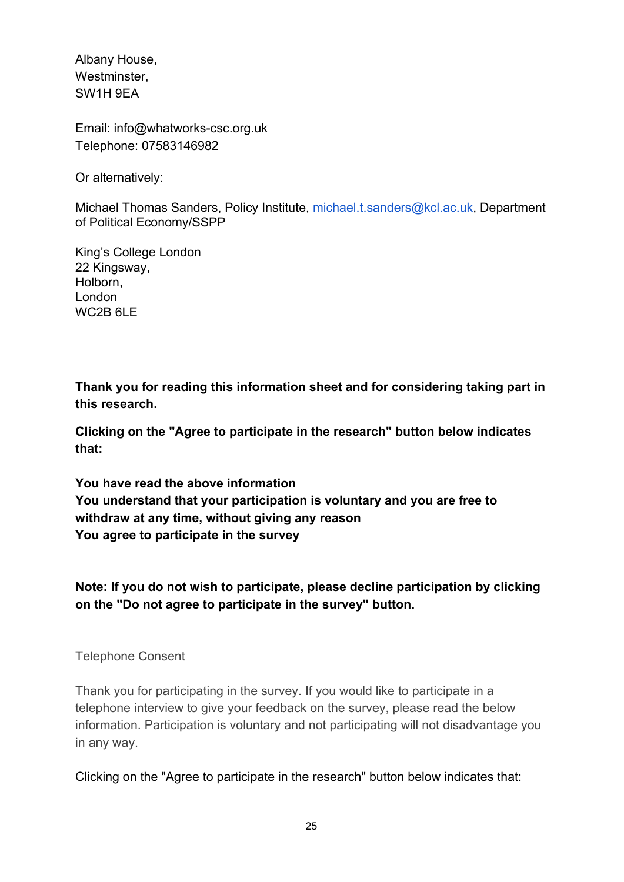Albany House, Westminster, SW1H 9EA

Email: info@whatworks-csc.org.uk Telephone: 07583146982

Or alternatively:

Michael Thomas Sanders, Policy Institute, [michael.t.sanders@kcl.ac.uk](mailto:michael.t.sanders@kcl.ac.uk), Department of Political Economy/SSPP

King's College London 22 Kingsway, Holborn, London WC<sub>2</sub>B<sub>6L</sub>F

**Thank you for reading this information sheet and for considering taking part in this research.**

**Clicking on the "Agree to participate in the research" button below indicates that:**

**You have read the above information You understand that your participation is voluntary and you are free to withdraw at any time, without giving any reason You agree to participate in the survey**

**Note: If you do not wish to participate, please decline participation by clicking on the "Do not agree to participate in the survey" button.**

## Telephone Consent

Thank you for participating in the survey. If you would like to participate in a telephone interview to give your feedback on the survey, please read the below information. Participation is voluntary and not participating will not disadvantage you in any way.

Clicking on the "Agree to participate in the research" button below indicates that: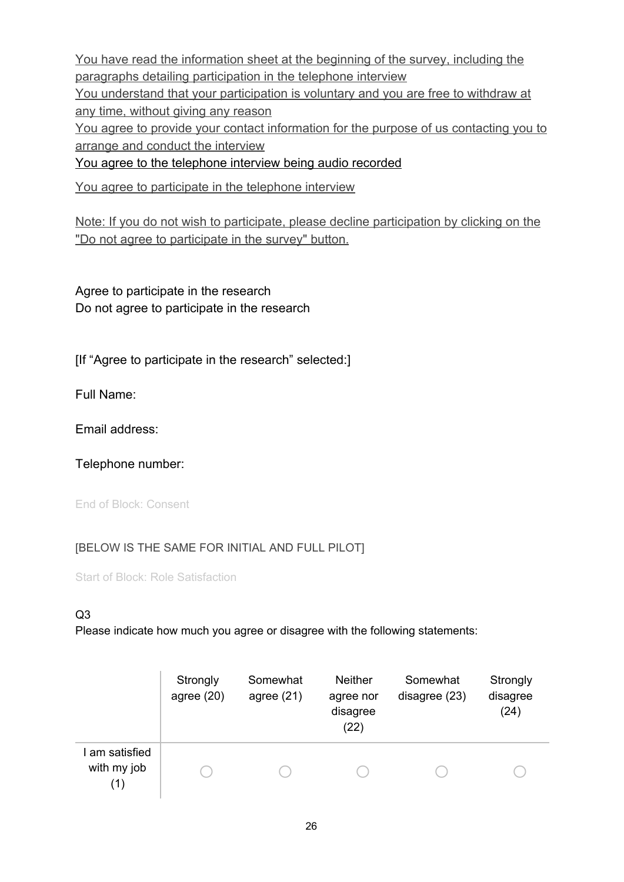You have read the information sheet at the beginning of the survey, including the paragraphs detailing participation in the telephone interview You understand that your participation is voluntary and you are free to withdraw at any time, without giving any reason You agree to provide your contact information for the purpose of us contacting you to arrange and conduct the interview You agree to the telephone interview being audio recorded

You agree to participate in the telephone interview

Note: If you do not wish to participate, please decline participation by clicking on the "Do not agree to participate in the survey" button.

Agree to participate in the research Do not agree to participate in the research

[If "Agree to participate in the research" selected:]

Full Name:

Email address:

Telephone number:

End of Block: Consent

#### [BELOW IS THE SAME FOR INITIAL AND FULL PILOT]

Start of Block: Role Satisfaction

#### Q3

|                                      | Strongly<br>agree $(20)$ | Somewhat<br>agree $(21)$ | <b>Neither</b><br>agree nor<br>disagree<br>(22) | Somewhat<br>disagree (23) | Strongly<br>disagree<br>(24) |
|--------------------------------------|--------------------------|--------------------------|-------------------------------------------------|---------------------------|------------------------------|
| I am satisfied<br>with my job<br>(1) |                          |                          |                                                 |                           |                              |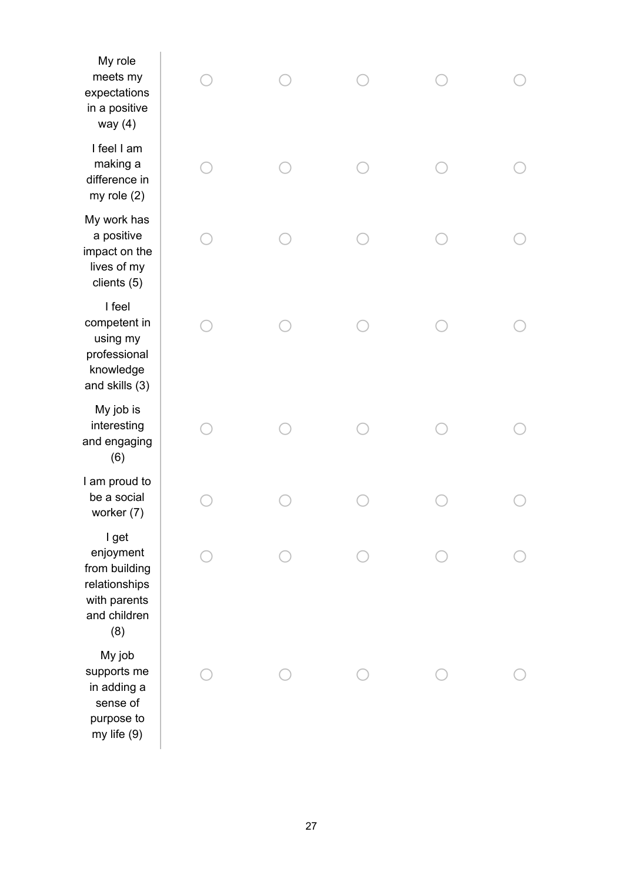| My role<br>meets my<br>expectations<br>in a positive<br>way $(4)$                           |  |  |  |
|---------------------------------------------------------------------------------------------|--|--|--|
| I feel I am<br>making a<br>difference in<br>my role $(2)$                                   |  |  |  |
| My work has<br>a positive<br>impact on the<br>lives of my<br>clients (5)                    |  |  |  |
| I feel<br>competent in<br>using my<br>professional<br>knowledge<br>and skills (3)           |  |  |  |
| My job is<br>interesting<br>and engaging<br>(6)                                             |  |  |  |
| I am proud to<br>be a social<br>worker (7)                                                  |  |  |  |
| I get<br>enjoyment<br>from building<br>relationships<br>with parents<br>and children<br>(8) |  |  |  |
| My job<br>supports me<br>in adding a<br>sense of<br>purpose to<br>my life (9)               |  |  |  |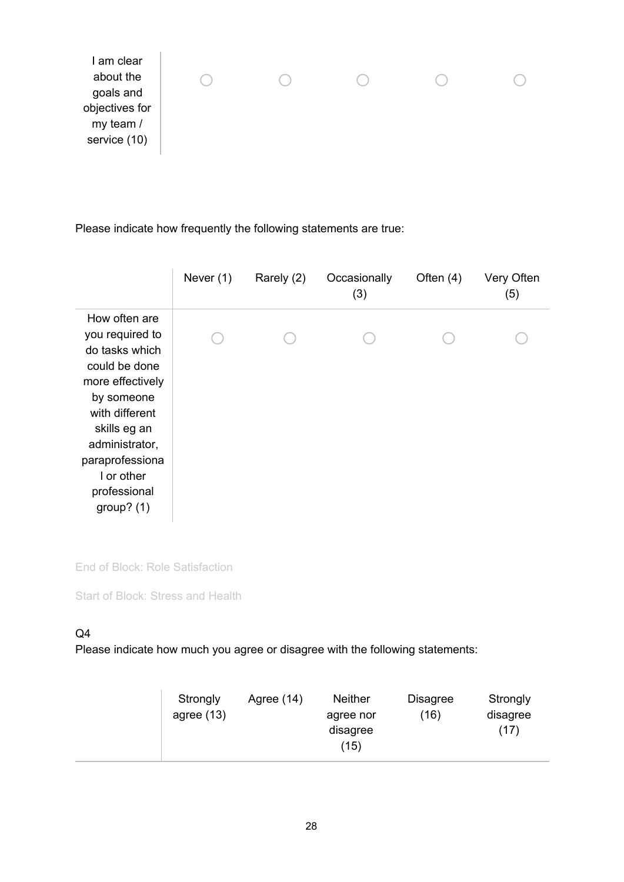Please indicate how frequently the following statements are true:

|                                                                                                                                                                                                                            |  | (3) | (5) |
|----------------------------------------------------------------------------------------------------------------------------------------------------------------------------------------------------------------------------|--|-----|-----|
| How often are<br>you required to<br>do tasks which<br>could be done<br>more effectively<br>by someone<br>with different<br>skills eg an<br>administrator,<br>paraprofessiona<br>I or other<br>professional<br>group? $(1)$ |  |     |     |

End of Block: Role Satisfaction

Start of Block: Stress and Health

## Q4

|  | Strongly<br>agree $(13)$ | Agree $(14)$ | <b>Neither</b><br>agree nor<br>disagree<br>(15) | <b>Disagree</b><br>(16) | Strongly<br>disagree<br>(17) |
|--|--------------------------|--------------|-------------------------------------------------|-------------------------|------------------------------|
|--|--------------------------|--------------|-------------------------------------------------|-------------------------|------------------------------|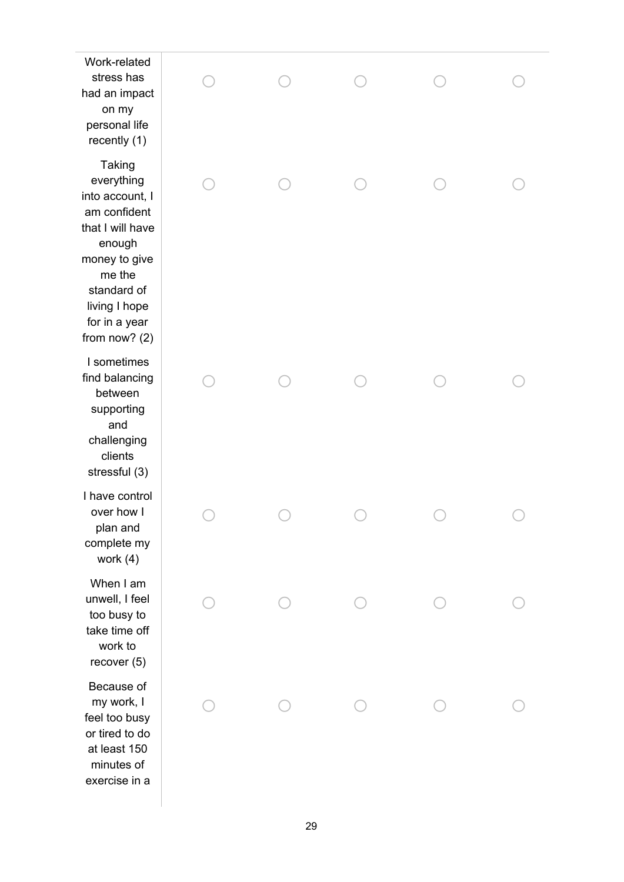Work-related s t r e s s h a s had an impact o n m y p e r s o n al lif e recently (1) T a kin g everything into account, I am confident that I will have enough money to give me the standard of living I hope for in a year from now? (2) I sometimes find balancing between supporting a n d c h alle n gin g clients stressful (3) I have control over how I plan and complete my When I am unwell, I feel too busy to take time off work to Because of my work, I feel too busy or tired to do at least 150 minutes of

| Work-related<br>stress has<br>ad an impact<br>on my<br>personal life<br>recently (1)                                                                                                     |  |  |  |
|------------------------------------------------------------------------------------------------------------------------------------------------------------------------------------------|--|--|--|
| <b>Taking</b><br>everything<br>nto account, I<br>am confident<br>hat I will have<br>enough<br>noney to give<br>me the<br>standard of<br>living I hope<br>for in a year<br>rom now? $(2)$ |  |  |  |
| I sometimes<br>ind balancing<br>between<br>supporting<br>and<br>challenging<br>clients<br>stressful (3)                                                                                  |  |  |  |
| have control<br>over how I<br>plan and<br>complete my<br>work $(4)$                                                                                                                      |  |  |  |
| When I am<br>unwell, I feel<br>too busy to<br>take time off<br>work to<br>recover (5)                                                                                                    |  |  |  |
| Because of<br>my work, I<br>feel too busy<br>or tired to do<br>at least 150<br>minutes of<br>exercise in a                                                                               |  |  |  |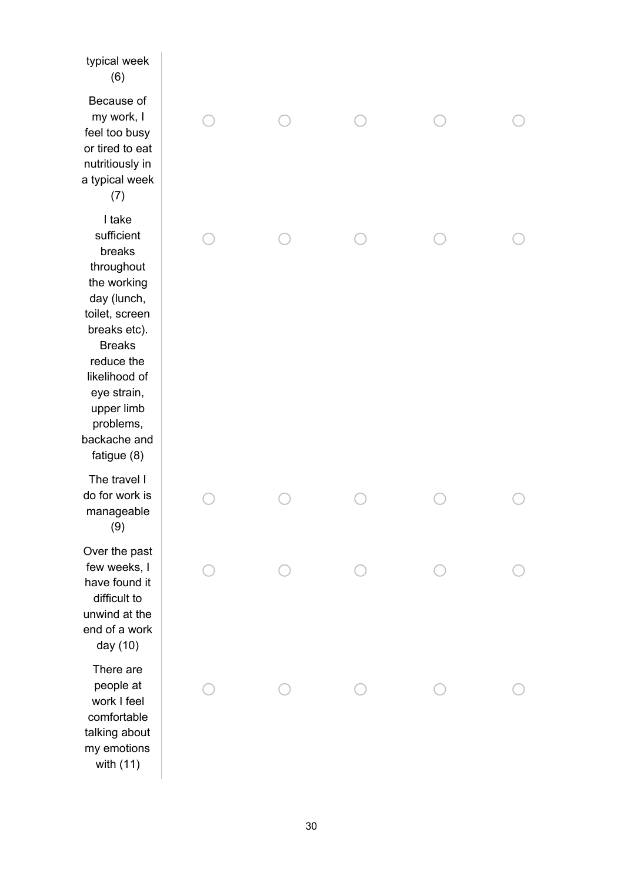typical week  $(6)$ Because of my work, l feel too bus y or tired to eat n u t ritio u sly in a typical week  $(7)$ o  $\bigcirc$ o o o I take sufficient breaks throughout the working day (lunch, toilet, screen breaks etc). Breaks reduce the likelihood of eye strain, upper limb problems, backache and fatigue (8) o  $\subset$ o o o The travel I do for work is manageable (9) o  $\bigcap$  $\bigcap$  $\bigcirc$ o Over the past few weeks, I have found it difficult to unwind at the end of a work day (10)  $\bigcirc$ o o o o There are people at work I feel comfortable talking about my emotions with (11) o  $\bigcap$ o  $\bigcirc$ o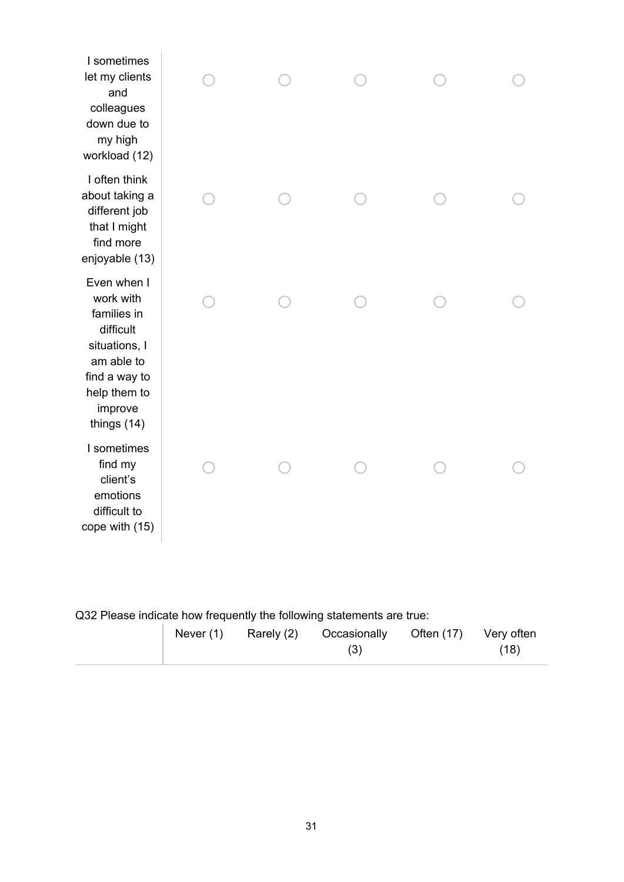| I sometimes<br>let my clients<br>and<br>colleagues<br>down due to<br>my high<br>workload (12)                                                    |  |  |  |
|--------------------------------------------------------------------------------------------------------------------------------------------------|--|--|--|
| I often think<br>about taking a<br>different job<br>that I might<br>find more<br>enjoyable (13)                                                  |  |  |  |
| Even when I<br>work with<br>families in<br>difficult<br>situations, I<br>am able to<br>find a way to<br>help them to<br>improve<br>things $(14)$ |  |  |  |
| I sometimes<br>find my<br>client's<br>emotions<br>difficult to<br>cope with (15)                                                                 |  |  |  |

# Q32 Please indicate how frequently the following statements are true:

| Never $(1)$<br>Rarely (2)<br>Often (17) Very often<br>Occasionally<br>(18) |
|----------------------------------------------------------------------------|
|----------------------------------------------------------------------------|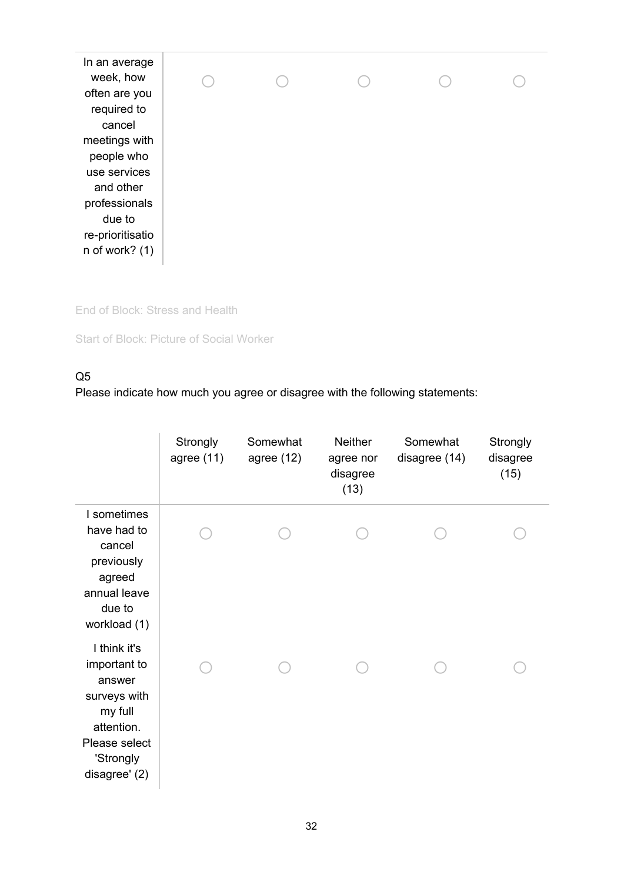In an average week, how often are you required to cancel meetings with people who use services and other professionals due to re-prioritisatio n of work? (1) o o o o o

End of Block: Stress and Health

Start of Block: Picture of Social Worker

#### Q5

|                                                                                                                                | Strongly<br>agree $(11)$ | Somewhat<br>agree $(12)$ | <b>Neither</b><br>agree nor<br>disagree<br>(13) | Somewhat<br>disagree (14) | Strongly<br>disagree<br>(15) |
|--------------------------------------------------------------------------------------------------------------------------------|--------------------------|--------------------------|-------------------------------------------------|---------------------------|------------------------------|
| I sometimes<br>have had to<br>cancel<br>previously<br>agreed<br>annual leave<br>due to<br>workload (1)                         |                          |                          |                                                 |                           |                              |
| I think it's<br>important to<br>answer<br>surveys with<br>my full<br>attention.<br>Please select<br>'Strongly<br>disagree' (2) |                          |                          |                                                 |                           |                              |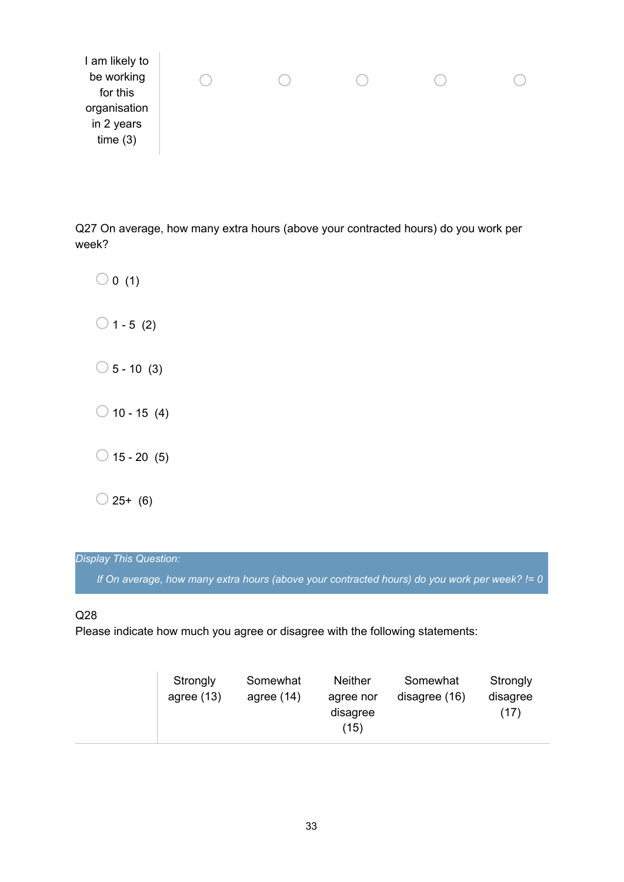Q27 On average, how many extra hours (above your contracted hours) do you work per week?

 $\bigcirc$  0 (1)  $\bigcirc$  1 - 5 (2)  $\bigcirc$  5 - 10 (3)  $\bigcirc$  10 - 15 (4)  $\bigcirc$  15 - 20 (5)  $\bigcirc$  25+ (6)

## *Display This Question:*

*If On average, how many extra hours (above your contracted hours) do you work per week? != 0*

#### Q28

| Strongly<br>agree $(13)$ | Somewhat<br>agree $(14)$ | <b>Neither</b><br>agree nor<br>disagree<br>(15) | Somewhat<br>disagree (16) | Strongly<br>disagree<br>(17) |
|--------------------------|--------------------------|-------------------------------------------------|---------------------------|------------------------------|
|--------------------------|--------------------------|-------------------------------------------------|---------------------------|------------------------------|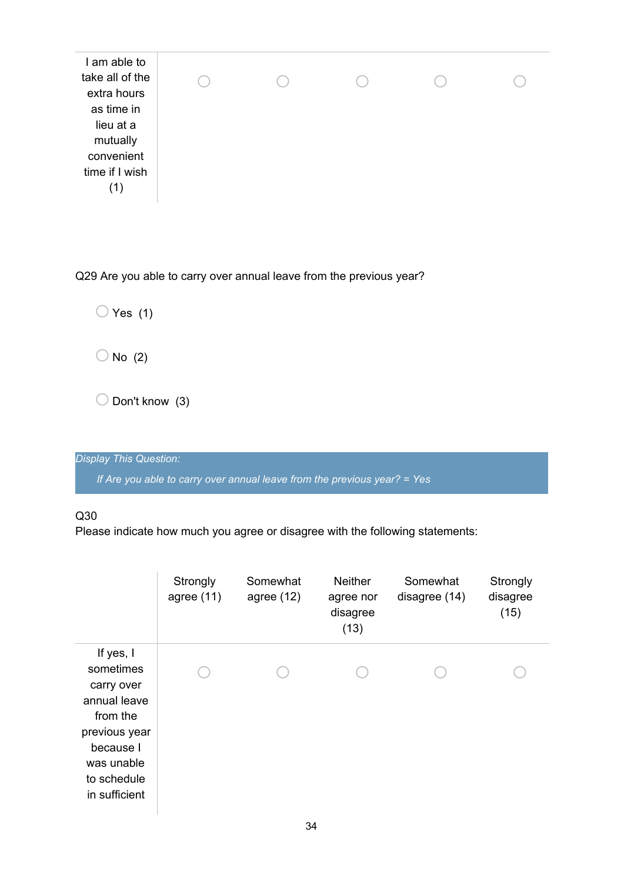| I am able to<br>take all of the                                                           |
|-------------------------------------------------------------------------------------------|
| extra hours<br>as time in<br>lieu at a<br>mutually<br>convenient<br>time if I wish<br>(1) |

Q29 Are you able to carry over annual leave from the previous year?

 $\bigcirc$  Yes (1)

 $\bigcirc$  No (2)

 $\bigcirc$  Don't know (3)

*Display This Question:*

*If Are you able to carry over annual leave from the previous year? = Yes*

#### Q30

|                                                                                                                                              | Strongly<br>agree $(11)$ | Somewhat<br>agree $(12)$ | <b>Neither</b><br>agree nor<br>disagree<br>(13) | Somewhat<br>disagree (14) | Strongly<br>disagree<br>(15) |
|----------------------------------------------------------------------------------------------------------------------------------------------|--------------------------|--------------------------|-------------------------------------------------|---------------------------|------------------------------|
| If yes, I<br>sometimes<br>carry over<br>annual leave<br>from the<br>previous year<br>because I<br>was unable<br>to schedule<br>in sufficient |                          |                          |                                                 |                           |                              |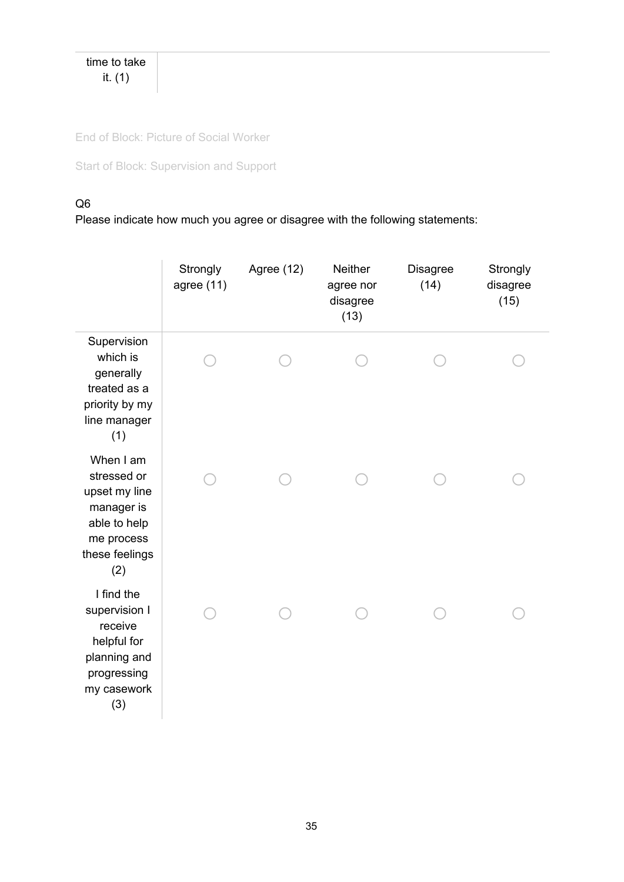time to take it. (1)

End of Block: Picture of Social Worker

Start of Block: Supervision and Support

## Q6

|                                                                                                                | Strongly<br>agree $(11)$ | Agree (12) | <b>Neither</b><br>agree nor<br>disagree<br>(13) | <b>Disagree</b><br>(14) | Strongly<br>disagree<br>(15) |
|----------------------------------------------------------------------------------------------------------------|--------------------------|------------|-------------------------------------------------|-------------------------|------------------------------|
| Supervision<br>which is<br>generally<br>treated as a<br>priority by my<br>line manager<br>(1)                  |                          |            |                                                 |                         |                              |
| When I am<br>stressed or<br>upset my line<br>manager is<br>able to help<br>me process<br>these feelings<br>(2) |                          |            |                                                 |                         |                              |
| I find the<br>supervision I<br>receive<br>helpful for<br>planning and<br>progressing<br>my casework<br>(3)     |                          |            |                                                 |                         |                              |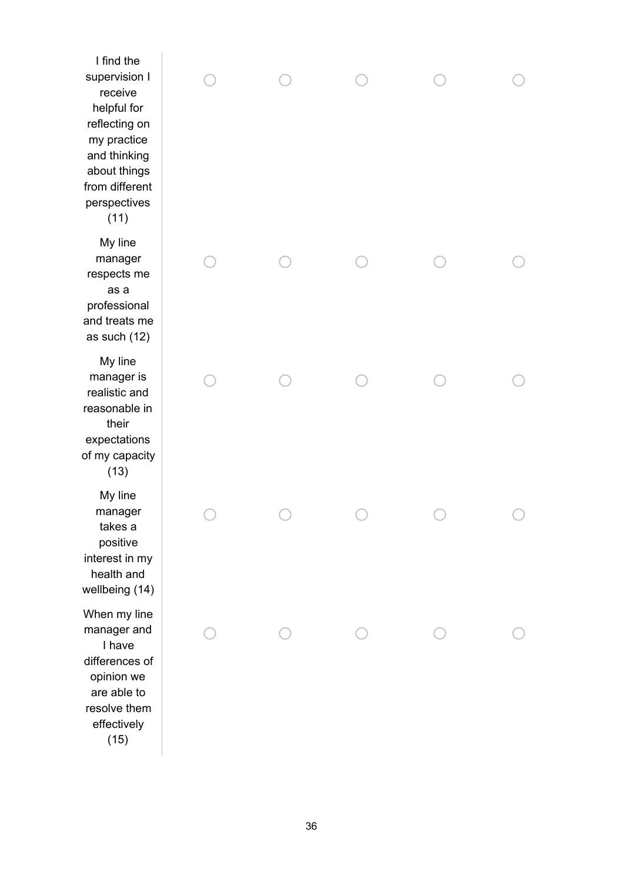I find the supervision I receive helpful for r e fle c tin g o n my practice a n d t hin kin g about things from different perspectives  $(11)$ M y lin e manager respects me a s a professional and treats me as such (12) M y lin e manager is r e alis tic a n d r e a s o n a ble in t h eir expectations of my capacity  $(13)$ M y lin e manager t a k e s a p o sitiv e interest in m y h e alt h a n d wellbeing (14) When my line manager and I have differences of o pinio n w e a r e a ble t o resolve them effectively

 $(15)$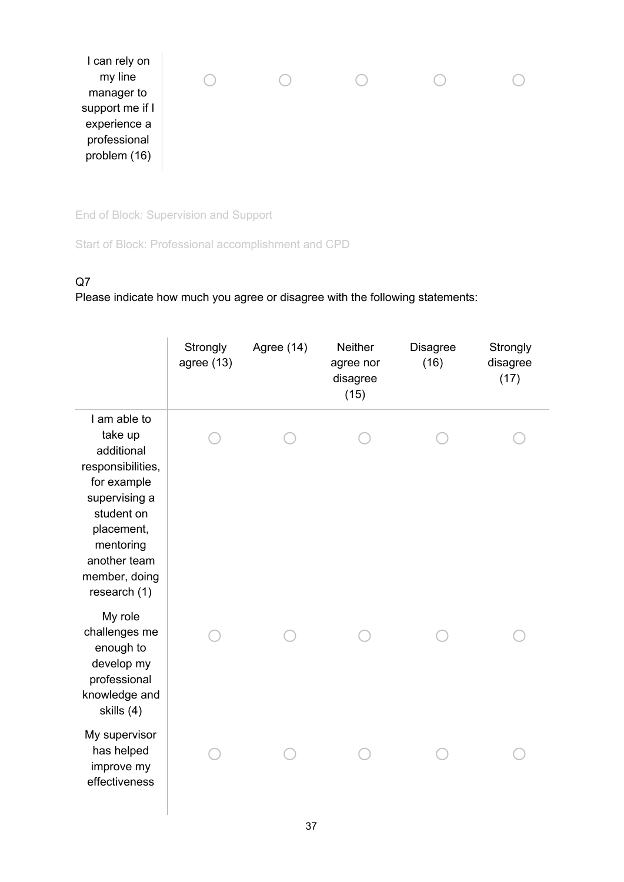

End of Block: Supervision and Support

Start of Block: Professional accomplishment and CPD

## Q7

|                                                                                                                                                                                      | Strongly<br>agree $(13)$ | Agree (14) | Neither<br>agree nor<br>disagree<br>(15) | <b>Disagree</b><br>(16) | Strongly<br>disagree<br>(17) |
|--------------------------------------------------------------------------------------------------------------------------------------------------------------------------------------|--------------------------|------------|------------------------------------------|-------------------------|------------------------------|
| I am able to<br>take up<br>additional<br>responsibilities,<br>for example<br>supervising a<br>student on<br>placement,<br>mentoring<br>another team<br>member, doing<br>research (1) |                          |            |                                          |                         |                              |
| My role<br>challenges me<br>enough to<br>develop my<br>professional<br>knowledge and<br>skills (4)                                                                                   |                          |            |                                          |                         |                              |
| My supervisor<br>has helped<br>improve my<br>effectiveness                                                                                                                           |                          |            |                                          |                         |                              |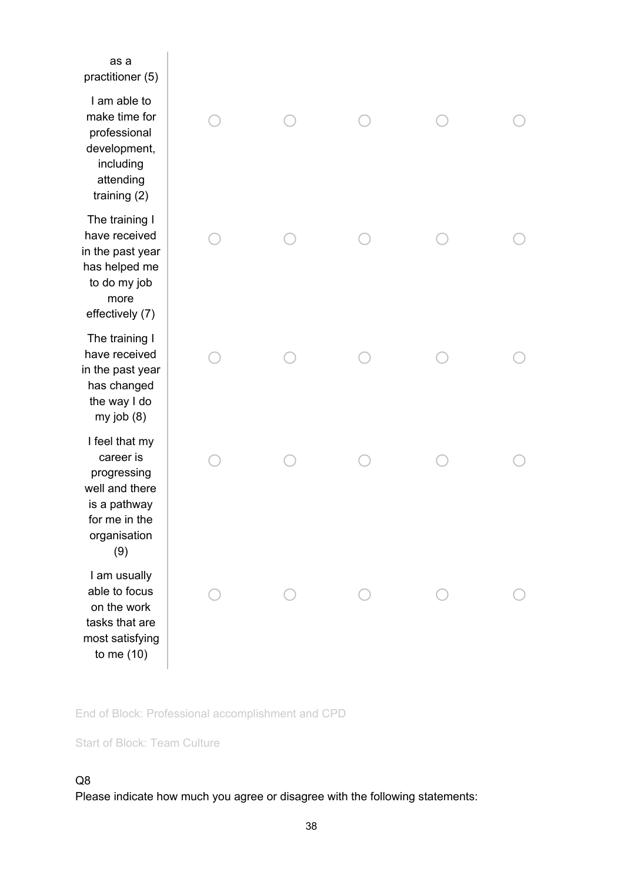| as a<br>practitioner (5)                                                                                             |  |  |  |
|----------------------------------------------------------------------------------------------------------------------|--|--|--|
| I am able to<br>make time for<br>professional<br>development,<br>including<br>attending<br>training $(2)$            |  |  |  |
| The training I<br>have received<br>in the past year<br>has helped me<br>to do my job<br>more<br>effectively (7)      |  |  |  |
| The training I<br>have received<br>in the past year<br>has changed<br>the way I do<br>my job $(8)$                   |  |  |  |
| I feel that my<br>career is<br>progressing<br>well and there<br>is a pathway<br>for me in the<br>organisation<br>(9) |  |  |  |
| I am usually<br>able to focus<br>on the work<br>tasks that are<br>most satisfying<br>to me $(10)$                    |  |  |  |

End of Block: Professional accomplishment and CPD

Start of Block: Team Culture

### Q8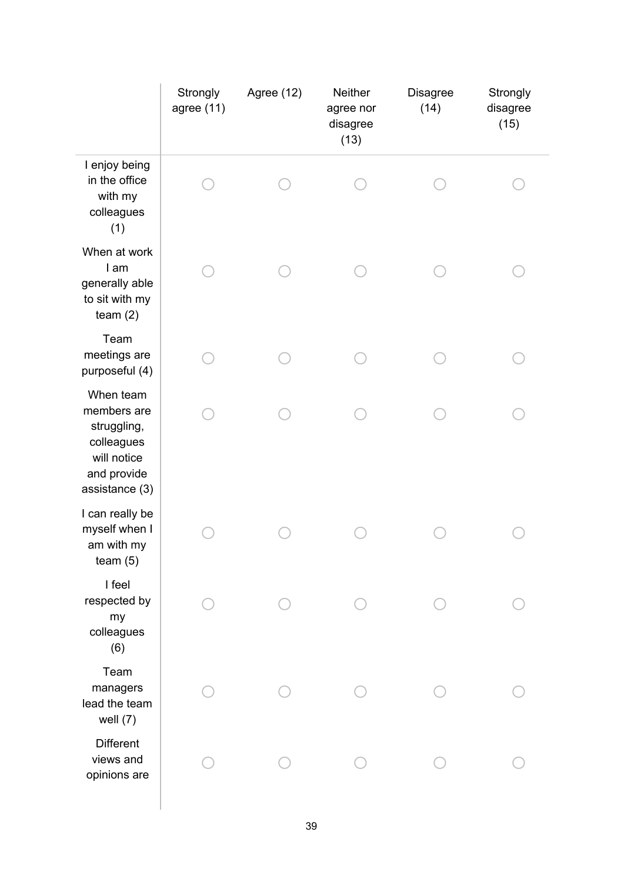|                                                                                                       | Strongly<br>agree (11) | Agree (12) | Neither<br>agree nor<br>disagree<br>(13) | <b>Disagree</b><br>(14) | Strongly<br>disagree<br>(15) |
|-------------------------------------------------------------------------------------------------------|------------------------|------------|------------------------------------------|-------------------------|------------------------------|
| I enjoy being<br>in the office<br>with my<br>colleagues<br>(1)                                        |                        |            |                                          |                         |                              |
| When at work<br>I am<br>generally able<br>to sit with my<br>team $(2)$                                |                        |            |                                          |                         |                              |
| Team<br>meetings are<br>purposeful (4)                                                                |                        |            |                                          |                         |                              |
| When team<br>members are<br>struggling,<br>colleagues<br>will notice<br>and provide<br>assistance (3) |                        |            |                                          |                         |                              |
| I can really be<br>myself when I<br>am with my<br>team $(5)$                                          |                        |            |                                          |                         |                              |
| I feel<br>respected by<br>my<br>colleagues<br>(6)                                                     |                        |            |                                          |                         |                              |
| Team<br>managers<br>lead the team<br>well $(7)$                                                       |                        |            |                                          |                         |                              |
| <b>Different</b><br>views and<br>opinions are                                                         |                        |            |                                          |                         |                              |
|                                                                                                       |                        |            |                                          |                         |                              |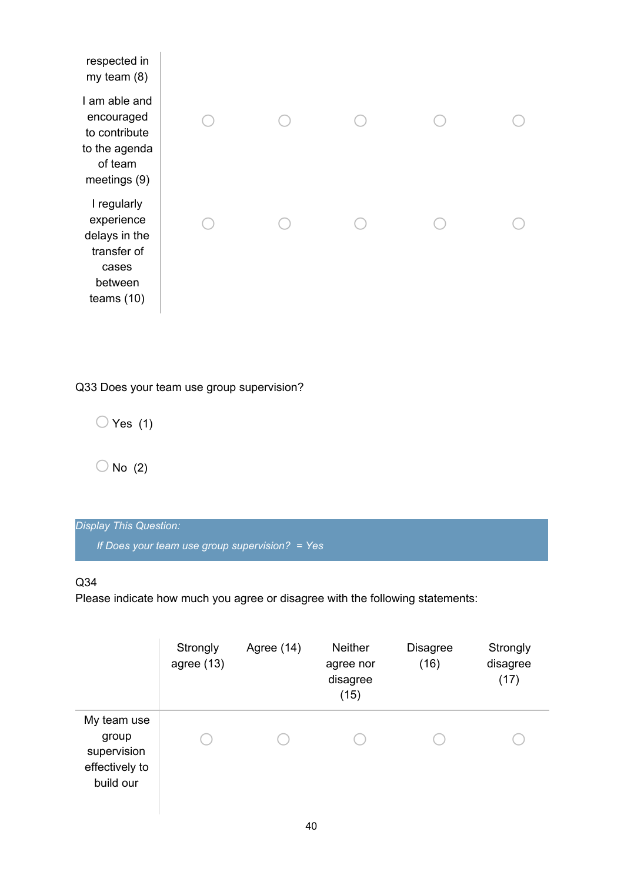| respected in<br>my team $(8)$                                                                 |  |  |  |
|-----------------------------------------------------------------------------------------------|--|--|--|
| I am able and<br>encouraged<br>to contribute<br>to the agenda<br>of team<br>meetings (9)      |  |  |  |
| I regularly<br>experience<br>delays in the<br>transfer of<br>cases<br>between<br>teams $(10)$ |  |  |  |

Q33 Does your team use group supervision?

 $\bigcirc$  Yes (1)

 $\bigcirc$  No (2)

| Display This Question:                           |  |
|--------------------------------------------------|--|
| If Does your team use group supervision? = Yes \ |  |

## Q34

|                                                                    | Strongly<br>agree $(13)$ | Agree $(14)$ | <b>Neither</b><br>agree nor<br>disagree<br>(15) | <b>Disagree</b><br>(16) | Strongly<br>disagree<br>(17) |
|--------------------------------------------------------------------|--------------------------|--------------|-------------------------------------------------|-------------------------|------------------------------|
| My team use<br>group<br>supervision<br>effectively to<br>build our |                          |              |                                                 |                         |                              |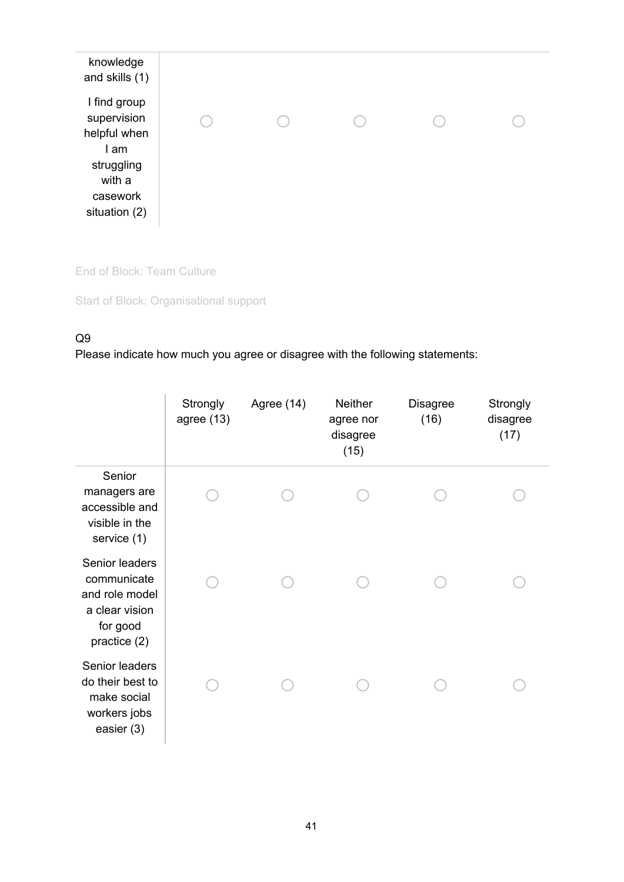| knowledge<br>and skills (1)                                                                              |  |  |  |
|----------------------------------------------------------------------------------------------------------|--|--|--|
| I find group<br>supervision<br>helpful when<br>I am<br>struggling<br>with a<br>casework<br>situation (2) |  |  |  |

End of Block: Team Culture

Start of Block: Organisational support

## Q9

|                                                                                               | Strongly<br>agree $(13)$ | Agree (14) | <b>Neither</b><br>agree nor<br>disagree<br>(15) | <b>Disagree</b><br>(16) | Strongly<br>disagree<br>(17) |
|-----------------------------------------------------------------------------------------------|--------------------------|------------|-------------------------------------------------|-------------------------|------------------------------|
| Senior<br>managers are<br>accessible and<br>visible in the<br>service (1)                     |                          |            |                                                 |                         |                              |
| Senior leaders<br>communicate<br>and role model<br>a clear vision<br>for good<br>practice (2) |                          |            |                                                 |                         |                              |
| Senior leaders<br>do their best to<br>make social<br>workers jobs<br>easier (3)               |                          |            |                                                 |                         |                              |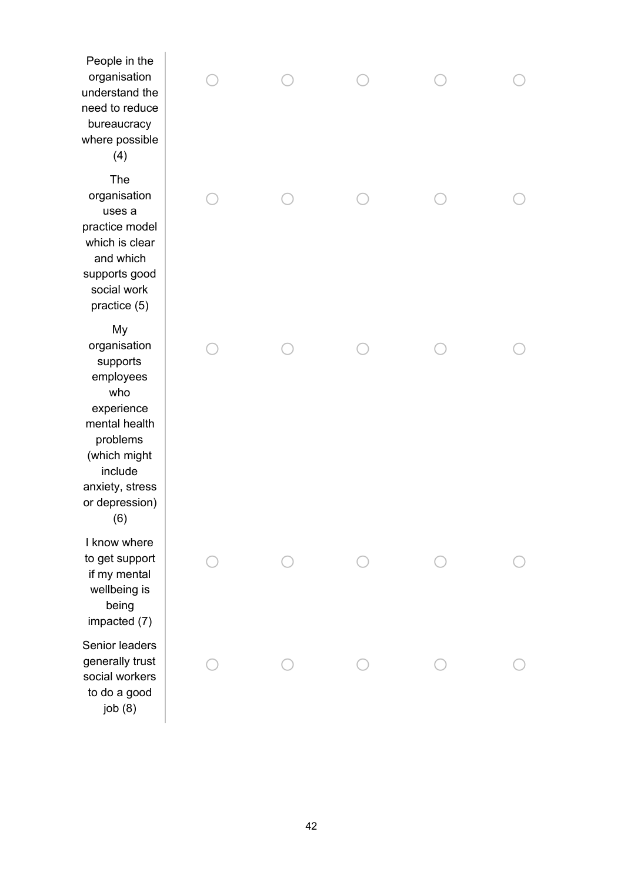People in the organisation understand the need to reduce bureaucracy where possible  $(4)$ T h e organisation u s e s a practice model which is clear and which supports good social work practice (5) M y organisation supports employees w h o experience mental health p r o ble m s ( w hic h mig h t include anxiety, stress or depression)  $(6)$ I know where to get support if my mental wellbeing is being Senior leaders generally trust social workers to do a good

| People in the<br>organisation<br>nderstand the<br>eed to reduce<br>bureaucracy<br>here possible<br>(4)                                                               |  |  |  |
|----------------------------------------------------------------------------------------------------------------------------------------------------------------------|--|--|--|
| The<br>organisation<br>uses a<br>ractice model<br>which is clear<br>and which<br>upports good<br>social work<br>practice (5)                                         |  |  |  |
| My<br>organisation<br>supports<br>employees<br>who<br>experience<br>mental health<br>problems<br>(which might<br>include<br>inxiety, stress<br>or depression)<br>(6) |  |  |  |
| know where<br>o get support<br>if my mental<br>wellbeing is<br>being<br>impacted (7)                                                                                 |  |  |  |
| enior leaders<br>enerally trust<br>ocial workers<br>to do a good<br>job(8)                                                                                           |  |  |  |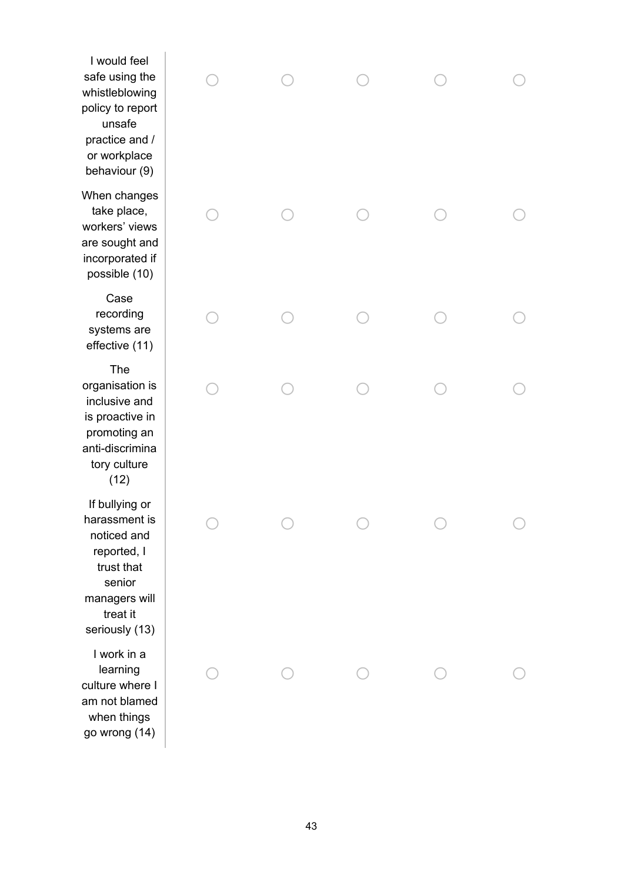I would feel safe using th e whistleblowing policy to report unsafe practice and / or workplace behaviour (9)  $\bigcirc$  $\bigcirc$  $\bigcirc$  $\bigcirc$ o o o  $\bigcirc$  $\bigcirc$ o  $\bigcirc$  $\bigcirc$  $\bigcap$  $\bigcirc$  $\bigcirc$ T h e  $\bigcap$  $\bigcap$  $\bigcap$  $\bigcap$ o o o o o o  $\bigcirc$ o o o o

When changes take place, workers' view s are sought and incorporated if possible (10) Case recording systems are effective (11) o r g a nis a tio n is inclusive and is proactive in promoting an anti-discrimina tory culture (12)

If bullying or harassment is n o tic e d a n d reported, I trust that senior managers will treat it seriously (13)

I work in a learning culture where I am not blamed when things go wrong (14)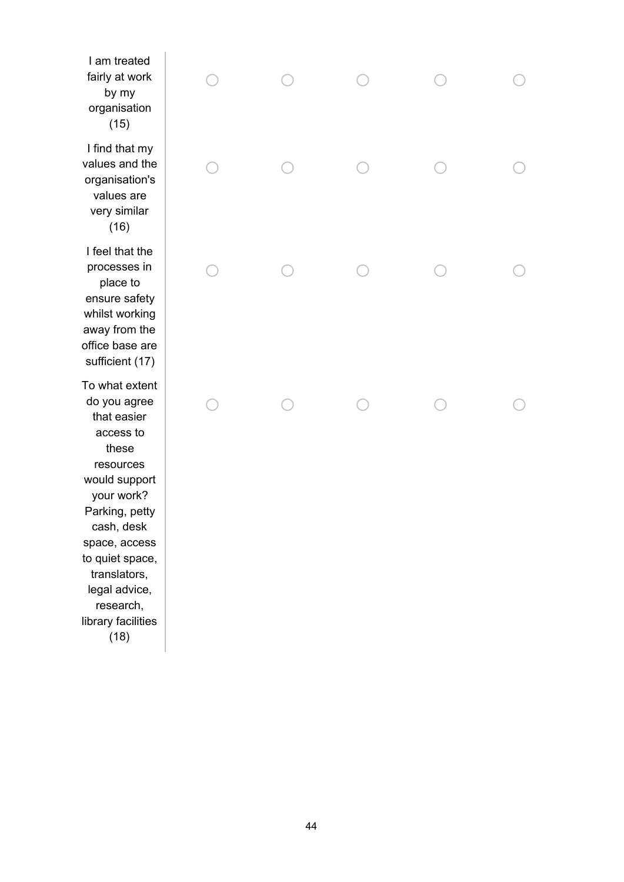I am treated fairly at work b y m y organisation  $(15)$  $\bigcirc$  $\bigcirc$ o  $\bigcirc$ o I find that my values and the o r g a nis a tio n's values are v e r y simila r  $(16)$ o o o  $\bigcirc$ o I feel that the processes in place to ensure safety whilst working away from the office base are processes in<br>
place to<br>
ensure safety<br>
whilst working<br>
away from the<br>
office base are<br>
sufficient (17) To what extent do you agree that easier access to these resources would support your work? Parking, petty cash, desk space, access to quiet space, translators, legal advice, research, library facilities ou agree<br>
t easier<br>
cess to<br>
cources<br>
ources<br>
ources<br>
d support<br>
in , desk<br>
e, access<br>
et space,<br>
slatdors,<br>
l advice,<br>
l advice,<br>
y facilities<br>
(18)<br>
(18)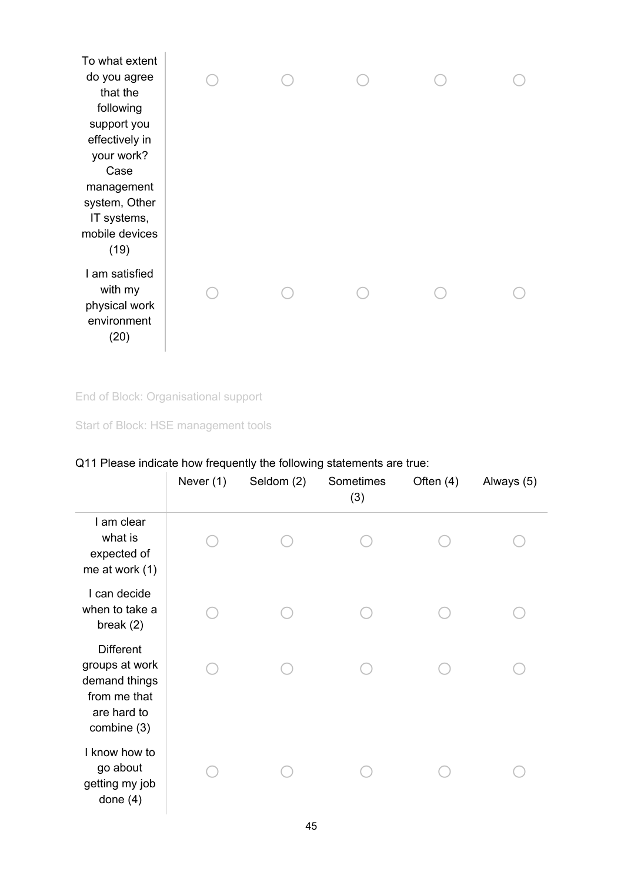| To what extent<br>do you agree<br>that the<br>following<br>support you<br>effectively in<br>your work?<br>Case<br>management<br>system, Other<br>IT systems,<br>mobile devices<br>(19) |  |  |  |
|----------------------------------------------------------------------------------------------------------------------------------------------------------------------------------------|--|--|--|
| I am satisfied<br>with my<br>physical work<br>environment<br>(20)                                                                                                                      |  |  |  |

End of Block: Organisational support

Start of Block: HSE management tools

# Q11 Please indicate how frequently the following statements are true:

|                                                                                                   | Never (1) | Seldom (2) | Sometimes<br>(3) | Often $(4)$ | Always (5) |
|---------------------------------------------------------------------------------------------------|-----------|------------|------------------|-------------|------------|
| I am clear<br>what is<br>expected of<br>me at work $(1)$                                          |           |            |                  |             |            |
| I can decide<br>when to take a<br>break $(2)$                                                     |           |            |                  |             |            |
| <b>Different</b><br>groups at work<br>demand things<br>from me that<br>are hard to<br>combine (3) |           |            |                  |             |            |
| I know how to<br>go about<br>getting my job<br>done $(4)$                                         |           |            |                  |             |            |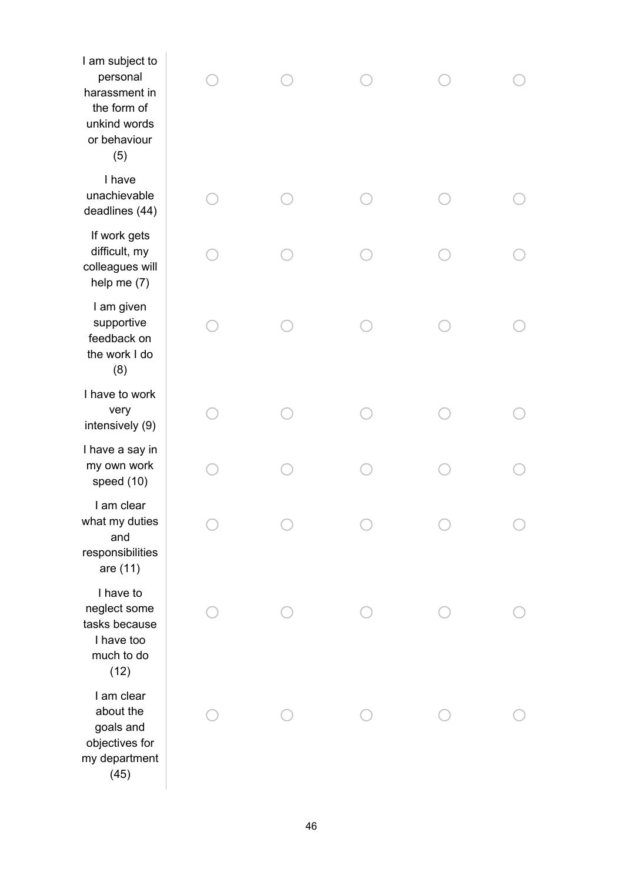| I am subject to<br>personal<br>harassment in<br>the form of<br>unkind words<br>or behaviour<br>(5) |  |  |  |
|----------------------------------------------------------------------------------------------------|--|--|--|
| I have<br>unachievable<br>deadlines (44)                                                           |  |  |  |
| If work gets<br>difficult, my<br>colleagues will<br>help me $(7)$                                  |  |  |  |
| I am given<br>supportive<br>feedback on<br>the work I do<br>(8)                                    |  |  |  |
| I have to work<br>very<br>intensively (9)                                                          |  |  |  |
| I have a say in<br>my own work<br>speed (10)                                                       |  |  |  |
| I am clear<br>what my duties<br>and<br>responsibilities<br>are (11)                                |  |  |  |
| I have to<br>neglect some<br>tasks because<br>I have too<br>much to do<br>(12)                     |  |  |  |
| I am clear<br>about the<br>goals and<br>objectives for<br>my department<br>(45)                    |  |  |  |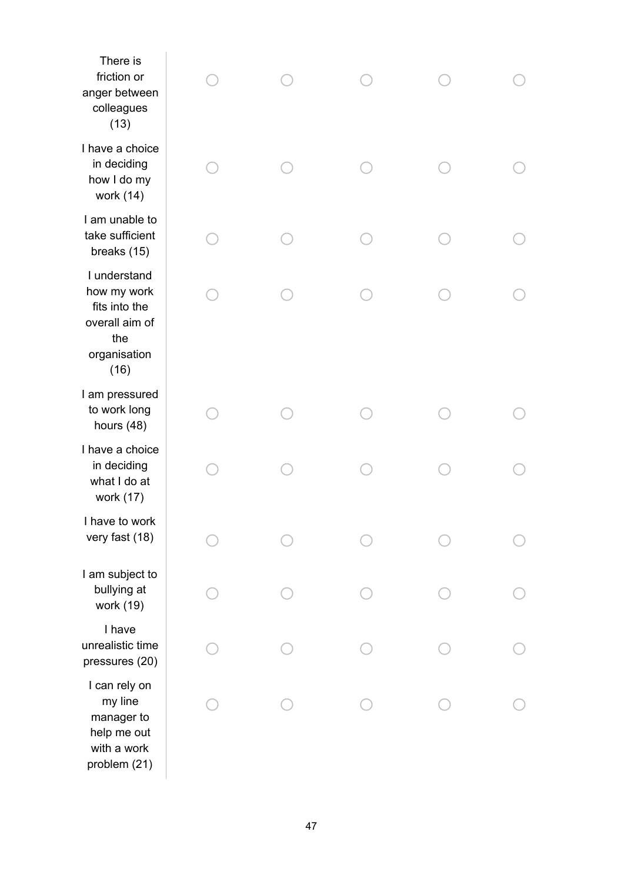| There is<br>friction or<br>anger between<br>colleagues<br>(13)                                |  |  |  |
|-----------------------------------------------------------------------------------------------|--|--|--|
| I have a choice<br>in deciding<br>how I do my<br>work (14)                                    |  |  |  |
| I am unable to<br>take sufficient<br>breaks (15)                                              |  |  |  |
| I understand<br>how my work<br>fits into the<br>overall aim of<br>the<br>organisation<br>(16) |  |  |  |
| I am pressured<br>to work long<br>hours (48)                                                  |  |  |  |
| I have a choice<br>in deciding<br>what I do at<br>work (17)                                   |  |  |  |
| I have to work<br>very fast (18)                                                              |  |  |  |
| I am subject to<br>bullying at<br>work (19)                                                   |  |  |  |
| I have<br>unrealistic time<br>pressures (20)                                                  |  |  |  |
| I can rely on<br>my line<br>manager to<br>help me out<br>with a work<br>problem (21)          |  |  |  |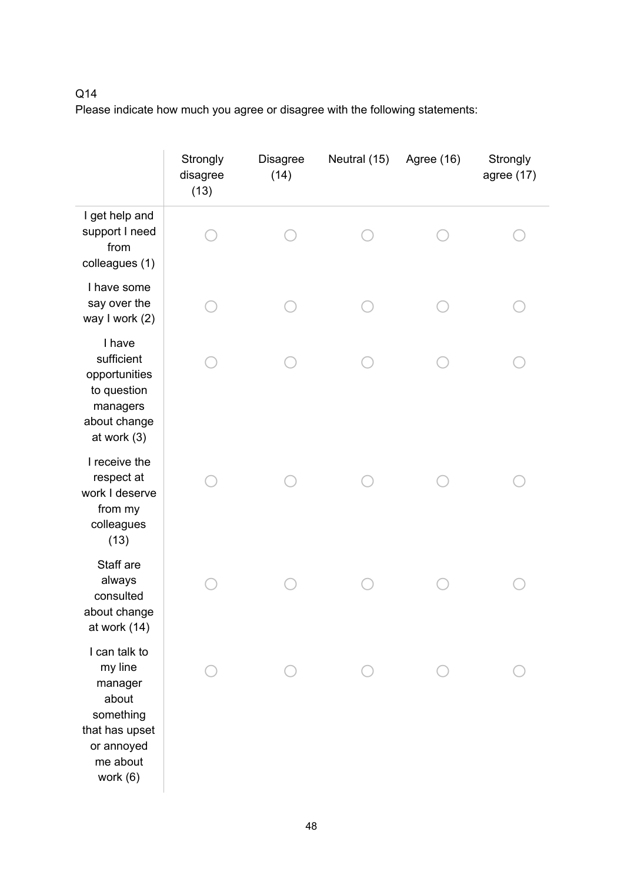## Q14

|                                                                                                                   | Strongly<br>disagree<br>(13) | <b>Disagree</b><br>(14) | Neutral (15) | Agree (16) | Strongly<br>agree $(17)$ |
|-------------------------------------------------------------------------------------------------------------------|------------------------------|-------------------------|--------------|------------|--------------------------|
| I get help and<br>support I need<br>from<br>colleagues (1)                                                        |                              |                         |              |            |                          |
| I have some<br>say over the<br>way I work (2)                                                                     |                              |                         |              |            |                          |
| I have<br>sufficient<br>opportunities<br>to question<br>managers<br>about change<br>at work $(3)$                 |                              |                         |              |            |                          |
| I receive the<br>respect at<br>work I deserve<br>from my<br>colleagues<br>(13)                                    |                              |                         |              |            |                          |
| Staff are<br>always<br>consulted<br>about change<br>at work (14)                                                  |                              |                         |              |            |                          |
| I can talk to<br>my line<br>manager<br>about<br>something<br>that has upset<br>or annoyed<br>me about<br>work (6) |                              |                         |              |            |                          |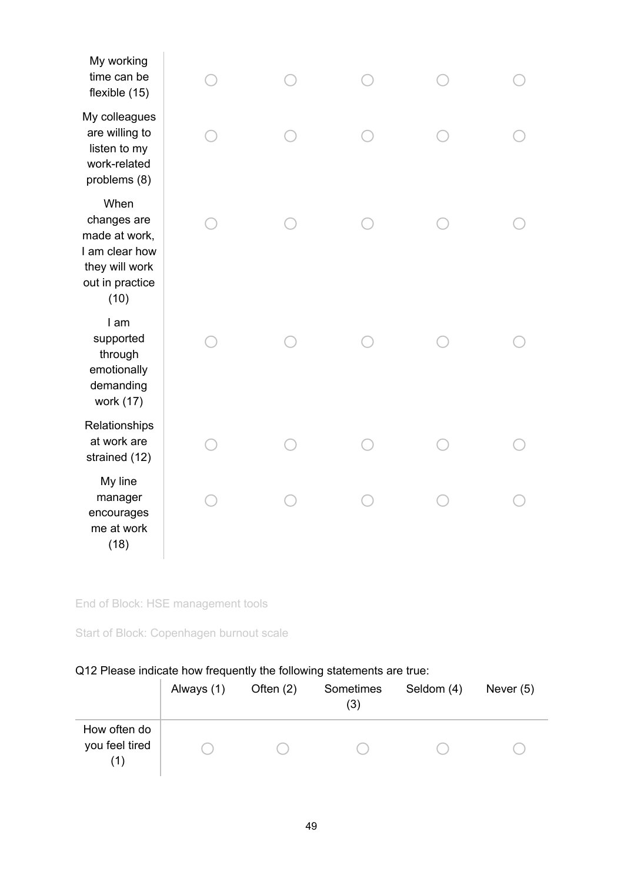End of Block: HSE management tools

Start of Block: Copenhagen burnout scale

## Q12 Please indicate how frequently the following statements are true:

|                                       | Always (1) | Often $(2)$ | Sometimes<br>(3) | Seldom (4) | Never $(5)$ |
|---------------------------------------|------------|-------------|------------------|------------|-------------|
| How often do<br>you feel tired<br>(1) |            |             |                  |            |             |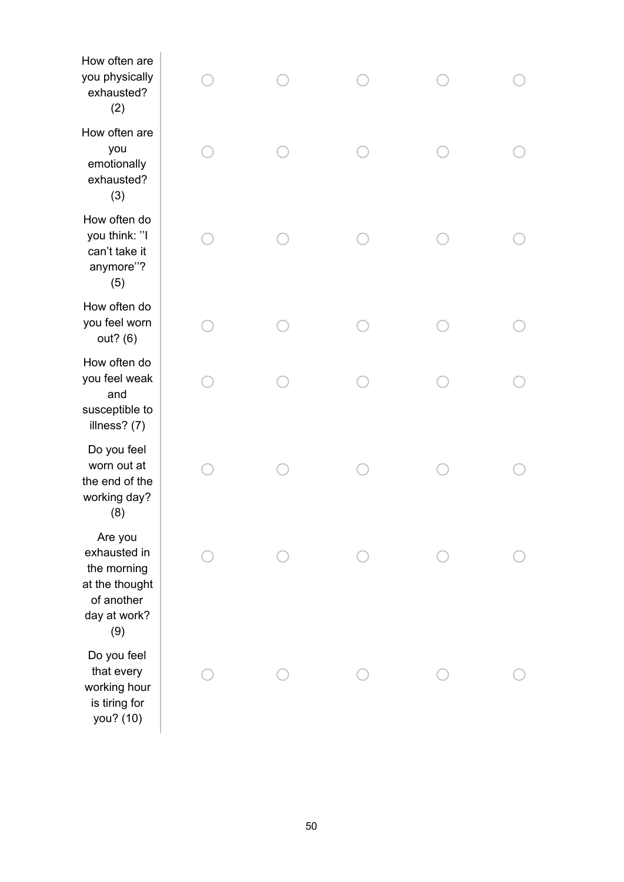| How often are<br>you physically<br>exhausted?<br>(2)                                          |  |  |  |
|-----------------------------------------------------------------------------------------------|--|--|--|
| How often are<br>you<br>emotionally<br>exhausted?<br>(3)                                      |  |  |  |
| How often do<br>you think: "I<br>can't take it<br>anymore"?<br>(5)                            |  |  |  |
| How often do<br>you feel worn<br>out? (6)                                                     |  |  |  |
| How often do<br>you feel weak<br>and<br>susceptible to<br>illness? (7)                        |  |  |  |
| Do you feel<br>worn out at<br>the end of the<br>working day?<br>(8)                           |  |  |  |
| Are you<br>exhausted in<br>the morning<br>at the thought<br>of another<br>day at work?<br>(9) |  |  |  |
| Do you feel<br>that every<br>working hour<br>is tiring for<br>you? (10)                       |  |  |  |
|                                                                                               |  |  |  |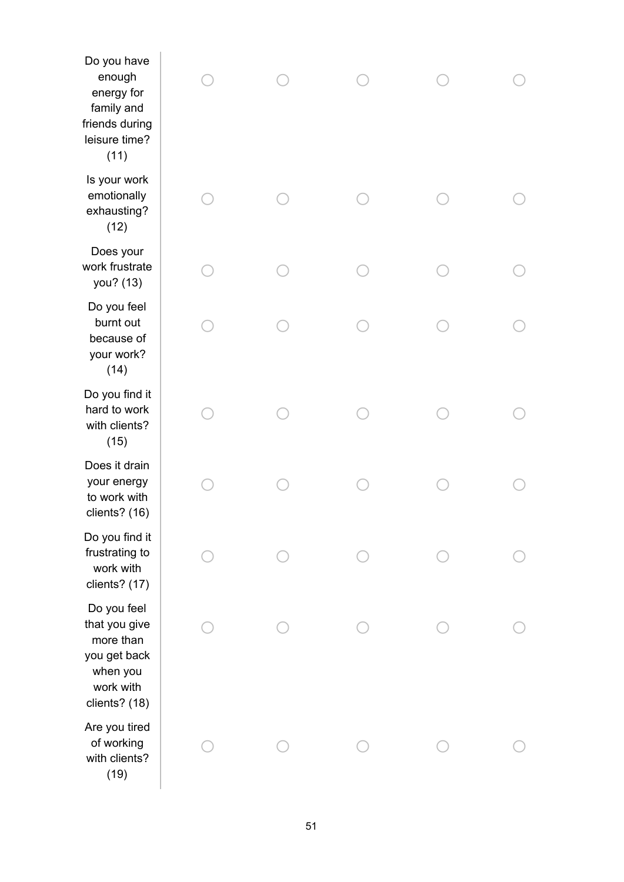| Do you have<br>enough<br>energy for<br>family and<br>friends during<br>leisure time?<br>(11)        |  |  |  |
|-----------------------------------------------------------------------------------------------------|--|--|--|
| Is your work<br>emotionally<br>exhausting?<br>(12)                                                  |  |  |  |
| Does your<br>work frustrate<br>you? (13)                                                            |  |  |  |
| Do you feel<br>burnt out<br>because of<br>your work?<br>(14)                                        |  |  |  |
| Do you find it<br>hard to work<br>with clients?<br>(15)                                             |  |  |  |
| Does it drain<br>your energy<br>to work with<br>clients? (16)                                       |  |  |  |
| Do you find it<br>frustrating to<br>work with<br>clients? (17)                                      |  |  |  |
| Do you feel<br>that you give<br>more than<br>you get back<br>when you<br>work with<br>clients? (18) |  |  |  |
| Are you tired<br>of working<br>with clients?<br>(19)                                                |  |  |  |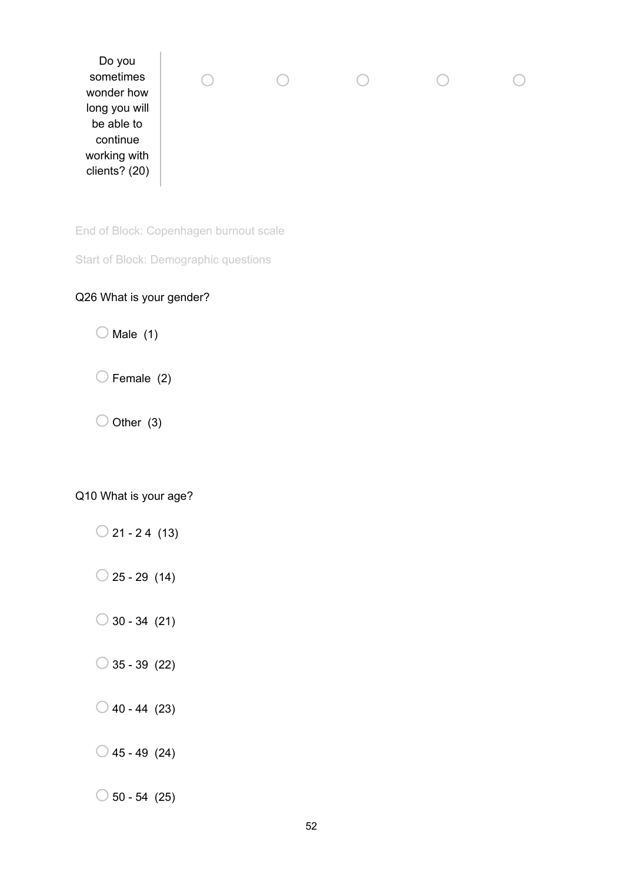| Do you<br>sometimes<br>wonder how<br>long you will<br>be able to<br>continue<br>working with<br>clients? (20) |
|---------------------------------------------------------------------------------------------------------------|
|---------------------------------------------------------------------------------------------------------------|

End of Block: Copenhagen burnout scale

Start of Block: Demographic questions

## Q26 What is your gender?

 $O$  Male (1)

 $\bigcirc$  Female (2)

 $\bigcirc$  Other (3)

Q10 What is your age?

- $\bigcirc$  21 24 (13)
- $\bigcirc$  25 29 (14)
- $\bigcirc$  30 34 (21)
- $\bigcirc$  35 39 (22)
- $\bigcirc$  40 44 (23)
- $\bigcirc$  45 49 (24)

 $\bigcirc$  50 - 54 (25)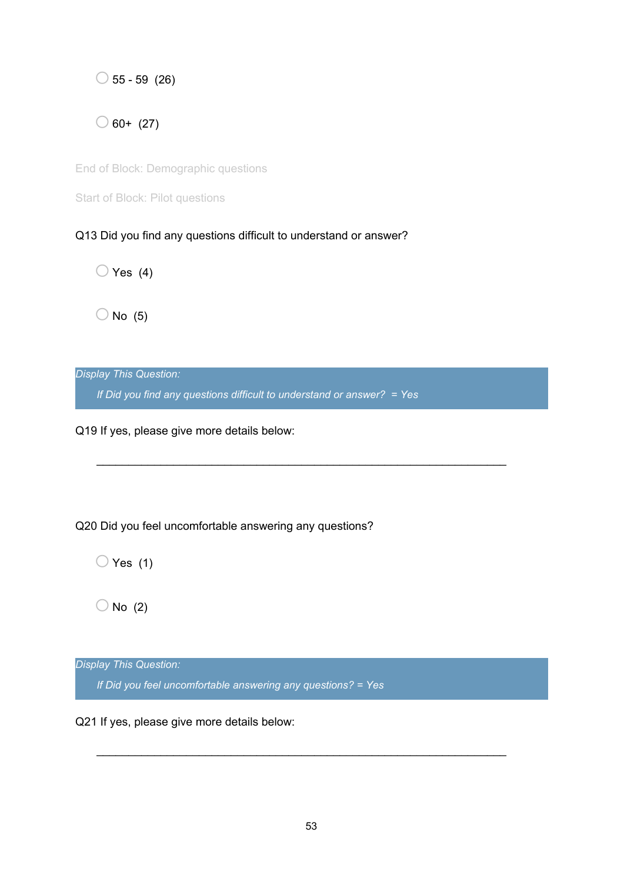$\bigcirc$  55 - 59 (26)

 $\bigcirc$  60+ (27)

End of Block: Demographic questions

Start of Block: Pilot questions

Q13 Did you find any questions difficult to understand or answer?

 $\bigcirc$  Yes (4)

 $\bigcirc$  No (5)

*Display This Question:*

*If Did you find any questions difficult to understand or answer? = Yes*

\_\_\_\_\_\_\_\_\_\_\_\_\_\_\_\_\_\_\_\_\_\_\_\_\_\_\_\_\_\_\_\_\_\_\_\_\_\_\_\_\_\_\_\_\_\_\_\_\_\_\_\_\_\_\_\_\_\_\_\_\_\_\_\_

Q19 If yes, please give more details below:

Q20 Did you feel uncomfortable answering any questions?

 $\bigcirc$  Yes (1)

 $\bigcirc$  No (2)

*Display This Question:*

*If Did you feel uncomfortable answering any questions? = Yes*

Q21 If yes, please give more details below:

\_\_\_\_\_\_\_\_\_\_\_\_\_\_\_\_\_\_\_\_\_\_\_\_\_\_\_\_\_\_\_\_\_\_\_\_\_\_\_\_\_\_\_\_\_\_\_\_\_\_\_\_\_\_\_\_\_\_\_\_\_\_\_\_